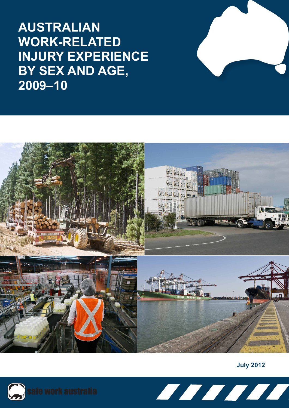**AUSTRALIAN WORK-RELATED INJURY EXPERIENCE BY SEX AND AGE, 2009–10**



**July 2012**



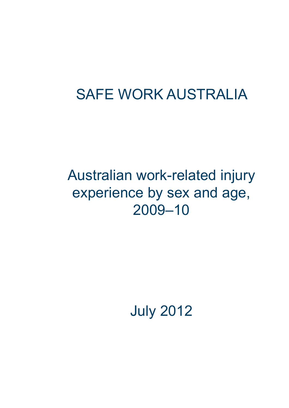# SAFE WORK AUSTRALIA

# Australian work-related injury experience by sex and age, 2009–10

July 2012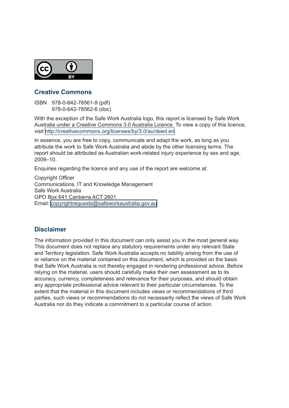

## **Creative Commons**

ISBN 978-0-642-78561-9 (pdf) 978-0-642-78562-6 (doc)

With the exception of the Safe Work Australia logo, this report is licensed by Safe Work Australia under a Creative Commons 3.0 Australia Licence. To view a copy of this licence, visit [http://creativecommons.org/licenses/by/3.0/au/deed.en](copyrightrequests@safeworkaustralia.gov.au)

In essence, you are free to copy, communicate and adapt the work, as long as you attribute the work to Safe Work Australia and abide by the other licensing terms. The report should be attributed as Australian work-related injury experience by sex and age, 2009–10.

Enquiries regarding the licence and any use of the report are welcome at:

Copyright Officer Communications, IT and Knowledge Management Safe Work Australia GPO Box 641 Canberra ACT 2601 Email:<copyrightrequests@safeworkaustralia.gov.au>

## **Disclaimer**

The information provided in this document can only assist you in the most general way. This document does not replace any statutory requirements under any relevant State and Territory legislation. Safe Work Australia accepts no liability arising from the use of or reliance on the material contained on this document, which is provided on the basis that Safe Work Australia is not thereby engaged in rendering professional advice. Before relying on the material, users should carefully make their own assessment as to its accuracy, currency, completeness and relevance for their purposes, and should obtain any appropriate professional advice relevant to their particular circumstances. To the extent that the material in this document includes views or recommendations of third parties, such views or recommendations do not necessarily reflect the views of Safe Work Australia nor do they indicate a commitment to a particular course of action.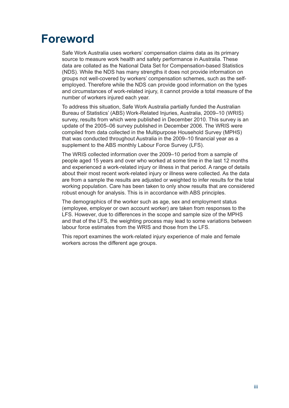## <span id="page-4-0"></span>**Foreword**

Safe Work Australia uses workers' compensation claims data as its primary source to measure work health and safety performance in Australia. These data are collated as the National Data Set for Compensation-based Statistics (NDS). While the NDS has many strengths it does not provide information on groups not well-covered by workers' compensation schemes, such as the selfemployed. Therefore while the NDS can provide good information on the types and circumstances of work-related injury, it cannot provide a total measure of the number of workers injured each year.

To address this situation, Safe Work Australia partially funded the Australian Bureau of Statistics' (ABS) Work-Related Injuries, Australia, 2009–10 (WRIS) survey, results from which were published in December 2010. This survey is an update of the 2005–06 survey published in December 2006. The WRIS were compiled from data collected in the Multipurpose Household Survey (MPHS) that was conducted throughout Australia in the 2009–10 financial year as a supplement to the ABS monthly Labour Force Survey (LFS).

The WRIS collected information over the 2009–10 period from a sample of people aged 15 years and over who worked at some time in the last 12 months and experienced a work-related injury or illness in that period. A range of details about their most recent work-related injury or illness were collected. As the data are from a sample the results are adjusted or weighted to infer results for the total working population. Care has been taken to only show results that are considered robust enough for analysis. This is in accordance with ABS principles.

The demographics of the worker such as age, sex and employment status (employee, employer or own account worker) are taken from responses to the LFS. However, due to differences in the scope and sample size of the MPHS and that of the LFS, the weighting process may lead to some variations between labour force estimates from the WRIS and those from the LFS.

This report examines the work-related injury experience of male and female workers across the different age groups.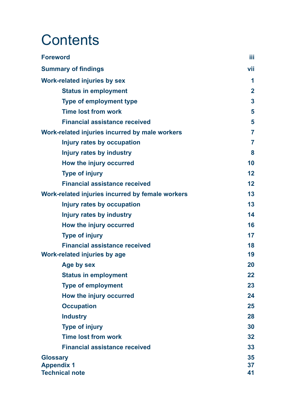# **Contents**

| <b>Foreword</b>                                  | iΪi            |
|--------------------------------------------------|----------------|
| <b>Summary of findings</b>                       | vii            |
| <b>Work-related injuries by sex</b>              | 1              |
| <b>Status in employment</b>                      | $\overline{2}$ |
| <b>Type of employment type</b>                   | 3              |
| <b>Time lost from work</b>                       | 5              |
| <b>Financial assistance received</b>             | 5              |
| Work-related injuries incurred by male workers   | 7              |
| <b>Injury rates by occupation</b>                | 7              |
| <b>Injury rates by industry</b>                  | 8              |
| How the injury occurred                          | 10             |
| <b>Type of injury</b>                            | 12             |
| <b>Financial assistance received</b>             | 12             |
| Work-related injuries incurred by female workers | 13             |
| Injury rates by occupation                       | 13             |
| <b>Injury rates by industry</b>                  | 14             |
| How the injury occurred                          | 16             |
| <b>Type of injury</b>                            | 17             |
| <b>Financial assistance received</b>             | 18             |
| <b>Work-related injuries by age</b>              | 19             |
| Age by sex                                       | 20             |
| <b>Status in employment</b>                      | 22             |
| <b>Type of employment</b>                        | 23             |
| How the injury occurred                          | 24             |
| <b>Occupation</b>                                | 25             |
| <b>Industry</b>                                  | 28             |
| <b>Type of injury</b>                            | 30             |
| <b>Time lost from work</b>                       | 32             |
| <b>Financial assistance received</b>             | 33             |
| <b>Glossary</b>                                  | 35             |
| <b>Appendix 1</b><br><b>Technical note</b>       | 37<br>41       |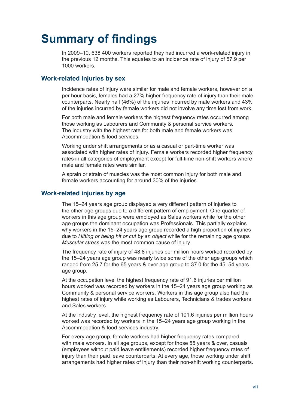## <span id="page-8-0"></span>**Summary of findings**

In 2009–10, 638 400 workers reported they had incurred a work-related injury in the previous 12 months. This equates to an incidence rate of injury of 57.9 per 1000 workers.

## **Work-related injuries by sex**

Incidence rates of injury were similar for male and female workers, however on a per hour basis, females had a 27% higher frequency rate of injury than their male counterparts. Nearly half (46%) of the injuries incurred by male workers and 43% of the injuries incurred by female workers did not involve any time lost from work.

For both male and female workers the highest frequency rates occurred among those working as Labourers and Community & personal service workers. The industry with the highest rate for both male and female workers was Accommodation & food services.

Working under shift arrangements or as a casual or part-time worker was associated with higher rates of injury. Female workers recorded higher frequency rates in all categories of employment except for full-time non-shift workers where male and female rates were similar.

A sprain or strain of muscles was the most common injury for both male and female workers accounting for around 30% of the injuries.

## **Work-related injuries by age**

The 15–24 years age group displayed a very different pattern of injuries to the other age groups due to a different pattern of employment. One-quarter of workers in this age group were employed as Sales workers while for the other age groups the dominant occupation was Professionals. This partially explains why workers in the 15–24 years age group recorded a high proportion of injuries due to *Hitting or being hit or cut by an object* while for the remaining age groups *Muscular stress* was the most common cause of injury.

The frequency rate of injury of 48.8 injuries per million hours worked recorded by the 15–24 years age group was nearly twice some of the other age groups which ranged from 25.7 for the 65 years & over age group to 37.0 for the 45–54 years age group.

At the occupation level the highest frequency rate of 91.6 injuries per million hours worked was recorded by workers in the 15–24 years age group working as Community & personal service workers. Workers in this age group also had the highest rates of injury while working as Labourers, Technicians & trades workers and Sales workers.

At the industry level, the highest frequency rate of 101.6 injuries per million hours worked was recorded by workers in the 15–24 years age group working in the Accommodation & food services industry.

For every age group, female workers had higher frequency rates compared with male workers. In all age groups, except for those 55 years & over, casuals (employees without paid leave entitlements) recorded higher frequency rates of injury than their paid leave counterparts. At every age, those working under shift arrangements had higher rates of injury than their non-shift working counterparts.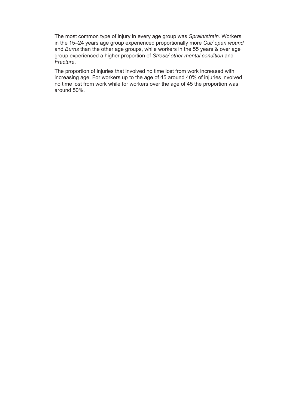The most common type of injury in every age group was *Sprain/strain*. Workers in the 15–24 years age group experienced proportionally more *Cut/ open wound* and *Burns* than the other age groups, while workers in the 55 years & over age group experienced a higher proportion of *Stress/ other mental condition* and *Fracture*.

The proportion of injuries that involved no time lost from work increased with increasing age. For workers up to the age of 45 around 40% of injuries involved no time lost from work while for workers over the age of 45 the proportion was around 50%.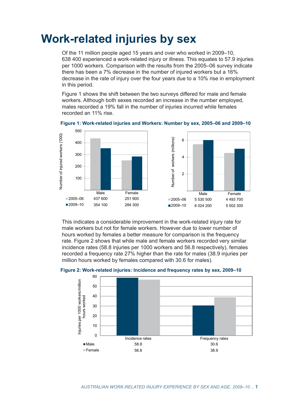## <span id="page-10-0"></span>**Work-related injuries by sex**

Of the 11 million people aged 15 years and over who worked in 2009–10, 638 400 experienced a work-related injury or illness. This equates to 57.9 injuries per 1000 workers. Comparison with the results from the 2005–06 survey indicate there has been a 7% decrease in the number of injured workers but a 16% decrease in the rate of injury over the four years due to a 10% rise in employment in this period.

Figure 1 shows the shift between the two surveys differed for male and female workers. Although both sexes recorded an increase in the number employed, males recorded a 19% fall in the number of injuries incurred while females recorded an 11% rise.



**Figure 1: Work-related injuries and Workers: Number by sex, 2005–06 and 2009–10**

This indicates a considerable improvement in the work-related injury rate for male workers but not for female workers. However due to lower number of hours worked by females a better measure for comparison is the frequency rate. Figure 2 shows that while male and female workers recorded very similar incidence rates (58.8 injuries per 1000 workers and 56.8 respectively), females recorded a frequency rate 27% higher than the rate for males (38.9 injuries per million hours worked by females compared with 30.6 for males).



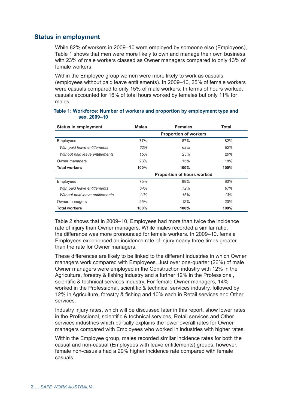## **Status in employment**

While 82% of workers in 2009–10 were employed by someone else (Employees), Table 1 shows that men were more likely to own and manage their own business with 23% of male workers classed as Owner managers compared to only 13% of female workers.

Within the Employee group women were more likely to work as casuals (employees without paid leave entitlements). In 2009–10, 25% of female workers were casuals compared to only 15% of male workers. In terms of hours worked, casuals accounted for 16% of total hours worked by females but only 11% for males.

| <b>Status in employment</b>     | <b>Males</b>                 | <b>Females</b>                    | Total |  |  |
|---------------------------------|------------------------------|-----------------------------------|-------|--|--|
|                                 | <b>Proportion of workers</b> |                                   |       |  |  |
| Employees                       | 77%                          | 87%                               | 82%   |  |  |
| With paid leave entitlements    | 62%                          | 62%                               | 62%   |  |  |
| Without paid leave entitlements | 15%                          | 25%                               | 20%   |  |  |
| Owner managers                  | 23%                          | 13%                               | 18%   |  |  |
| <b>Total workers</b>            | 100%                         | 100%                              | 100%  |  |  |
|                                 |                              | <b>Proportion of hours worked</b> |       |  |  |
| Employees                       | 75%                          | 88%                               | 80%   |  |  |
| With paid leave entitlements    | 64%                          | 72%                               | 67%   |  |  |
| Without paid leave entitlements | 11%                          | 16%                               | 13%   |  |  |
| Owner managers                  | 25%                          | 12%                               | 20%   |  |  |
| <b>Total workers</b>            | 100%                         | 100%                              | 100%  |  |  |

#### **Table 1: Workforce: Number of workers and proportion by employment type and sex, 2009–10**

Table 2 shows that in 2009–10, Employees had more than twice the incidence rate of injury than Owner managers. While males recorded a similar ratio, the difference was more pronounced for female workers. In 2009–10, female Employees experienced an incidence rate of injury nearly three times greater than the rate for Owner managers.

These differences are likely to be linked to the different industries in which Owner managers work compared with Employees. Just over one-quarter (26%) of male Owner managers were employed in the Construction industry with 12% in the Agriculture, forestry & fishing industry and a further 12% in the Professional, scientific & technical services industry. For female Owner managers, 14% worked in the Professional, scientific & technical services industry, followed by 12% in Agriculture, forestry & fishing and 10% each in Retail services and Other services.

Industry injury rates, which will be discussed later in this report, show lower rates in the Professional, scientific & technical services, Retail services and Other services industries which partially explains the lower overall rates for Owner managers compared with Employees who worked in industries with higher rates.

Within the Employee group, males recorded similar incidence rates for both the casual and non-casual (Employees with leave entitlements) groups, however, female non-casuals had a 20% higher incidence rate compared with female casuals.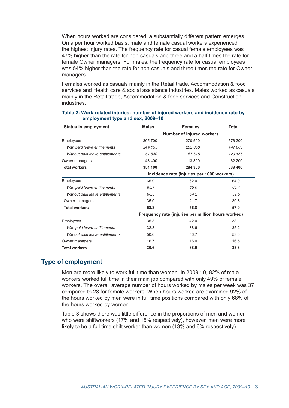When hours worked are considered, a substantially different pattern emerges. On a per hour worked basis, male and female casual workers experienced the highest injury rates. The frequency rate for casual female employees was 47% higher than the rate for non-casuals and three and a half times the rate for female Owner managers. For males, the frequency rate for casual employees was 54% higher than the rate for non-casuals and three times the rate for Owner managers.

Females worked as casuals mainly in the Retail trade, Accommodation & food services and Health care & social assistance industries. Males worked as casuals mainly in the Retail trade, Accommodation & food services and Construction industries.

| <b>Status in employment</b>     | <b>Males</b>              | <b>Females</b>                                     | <b>Total</b> |  |  |
|---------------------------------|---------------------------|----------------------------------------------------|--------------|--|--|
|                                 | Number of injured workers |                                                    |              |  |  |
| Employees                       | 305 700                   | 270 500                                            | 576 200      |  |  |
| With paid leave entitlements    | 244 155                   | 202 850                                            | 447 005      |  |  |
| Without paid leave entitlements | 61 540                    | 67 615                                             | 129 155      |  |  |
| Owner managers                  | 48 400                    | 13 800                                             | 62 200       |  |  |
| <b>Total workers</b>            | 354 100                   | 284 300                                            | 638 400      |  |  |
|                                 |                           | Incidence rate (injuries per 1000 workers)         |              |  |  |
| Employees                       | 65.9                      | 62.0                                               | 64.0         |  |  |
| With paid leave entitlements    | 65.7                      | 65.0                                               | 65.4         |  |  |
| Without paid leave entitlements | 66.6                      | 54.2                                               | 59.5         |  |  |
| Owner managers                  | 35.0                      | 21.7                                               | 30.8         |  |  |
| <b>Total workers</b>            | 58.8                      | 56.8                                               | 57.9         |  |  |
|                                 |                           | Frequency rate (injuries per million hours worked) |              |  |  |
| <b>Employees</b>                | 35.3                      | 42.0                                               | 38.1         |  |  |
| With paid leave entitlements    | 32.8                      | 38.6                                               | 35.2         |  |  |
| Without paid leave entitlements | 50.6                      | 56.7                                               | 53.6         |  |  |
| Owner managers                  | 16.7                      | 16.0                                               | 16.5         |  |  |
| <b>Total workers</b>            | 30.6                      | 38.9                                               | 33.8         |  |  |

#### **Table 2: Work-related injuries: number of injured workers and incidence rate by employment type and sex, 2009–10**

## **Type of employment**

Men are more likely to work full time than women. In 2009-10, 82% of male workers worked full time in their main job compared with only 49% of female workers. The overall average number of hours worked by males per week was 37 compared to 28 for female workers. When hours worked are examined 92% of the hours worked by men were in full time positions compared with only 68% of the hours worked by women.

Table 3 shows there was little difference in the proportions of men and women who were shiftworkers (17% and 15% respectively), however, men were more likely to be a full time shift worker than women (13% and 6% respectively).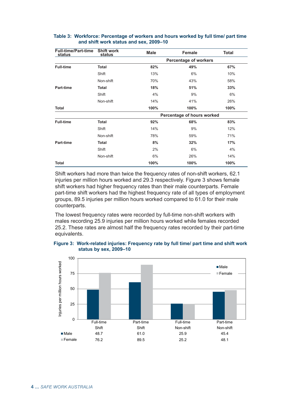| <b>Full-time/Part-time</b><br>status | <b>Shift work</b><br>status | <b>Male</b> | Female                       | <b>Total</b> |
|--------------------------------------|-----------------------------|-------------|------------------------------|--------------|
|                                      |                             |             | <b>Percentage of workers</b> |              |
| <b>Full-time</b>                     | <b>Total</b>                | 82%         | 49%                          | 67%          |
|                                      | Shift                       | 13%         | 6%                           | 10%          |
|                                      | Non-shift                   | 70%         | 43%                          | 58%          |
| <b>Part-time</b>                     | <b>Total</b>                | 18%         | 51%                          | 33%          |
|                                      | Shift                       | 4%          | 9%                           | 6%           |
|                                      | Non-shift                   | 14%         | 41%                          | 26%          |
| <b>Total</b>                         |                             | 100%        | 100%                         | 100%         |
|                                      |                             |             | Percentage of hours worked   |              |
| <b>Full-time</b>                     | <b>Total</b>                | 92%         | 68%                          | 83%          |
|                                      | Shift                       | 14%         | 9%                           | 12%          |
|                                      | Non-shift                   | 78%         | 59%                          | 71%          |
| <b>Part-time</b>                     | <b>Total</b>                | 8%          | 32%                          | 17%          |
|                                      | Shift                       | 2%          | 6%                           | 4%           |
|                                      | Non-shift                   | 6%          | 26%                          | 14%          |
| <b>Total</b>                         |                             | 100%        | 100%                         | 100%         |

## **Table 3: Workforce: Percentage of workers and hours worked by full time/ part time and shift work status and sex, 2009–10**

Shift workers had more than twice the frequency rates of non-shift workers, 62.1 injuries per million hours worked and 29.3 respectively. Figure 3 shows female shift workers had higher frequency rates than their male counterparts. Female part-time shift workers had the highest frequency rate of all types of employment groups, 89.5 injuries per million hours worked compared to 61.0 for their male counterparts.

The lowest frequency rates were recorded by full-time non-shift workers with males recording 25.9 injuries per million hours worked while females recorded 25.2. These rates are almost half the frequency rates recorded by their part-time equivalents.



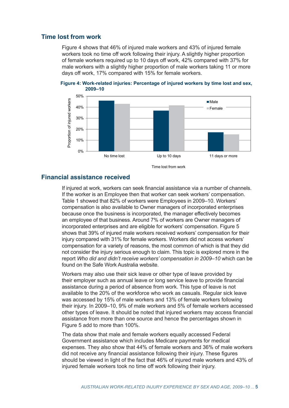## **Time lost from work**

Figure 4 shows that 46% of injured male workers and 43% of injured female workers took no time off work following their injury. A slightly higher proportion of female workers required up to 10 days off work, 42% compared with 37% for male workers with a slightly higher proportion of male workers taking 11 or more days off work, 17% compared with 15% for female workers.





## **Financial assistance received**

If injured at work, workers can seek financial assistance via a number of channels. If the worker is an Employee then that worker can seek workers' compensation. Table 1 showed that 82% of workers were Employees in 2009–10. Workers' compensation is also available to Owner managers of incorporated enterprises because once the business is incorporated, the manager effectively becomes an employee of that business. Around 7% of workers are Owner managers of incorporated enterprises and are eligible for workers' compensation. Figure 5 shows that 39% of injured male workers received workers' compensation for their injury compared with 31% for female workers. Workers did not access workers' compensation for a variety of reasons, the most common of which is that they did not consider the injury serious enough to claim. This topic is explored more in the report *Who did and didn't receive workers' compensation in 2009–10* which can be found on the Safe Work Australia website.

Workers may also use their sick leave or other type of leave provided by their employer such as annual leave or long service leave to provide financial assistance during a period of absence from work. This type of leave is not available to the 20% of the workforce who work as casuals. Regular sick leave was accessed by 15% of male workers and 13% of female workers following their injury. In 2009–10, 9% of male workers and 5% of female workers accessed other types of leave. It should be noted that injured workers may access financial assistance from more than one source and hence the percentages shown in Figure 5 add to more than 100%.

The data show that male and female workers equally accessed Federal Government assistance which includes Medicare payments for medical expenses. They also show that 44% of female workers and 36% of male workers did not receive any financial assistance following their injury. These figures should be viewed in light of the fact that 46% of injured male workers and 43% of injured female workers took no time off work following their injury.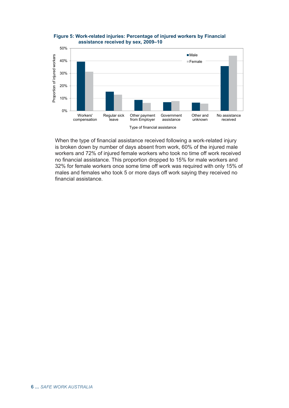

**Figure 5: Work-related injuries: Percentage of injured workers by Financial assistance received by sex, 2009–10**

When the type of financial assistance received following a work-related injury is broken down by number of days absent from work, 60% of the injured male workers and 72% of injured female workers who took no time off work received no financial assistance. This proportion dropped to 15% for male workers and 32% for female workers once some time off work was required with only 15% of males and females who took 5 or more days off work saying they received no financial assistance.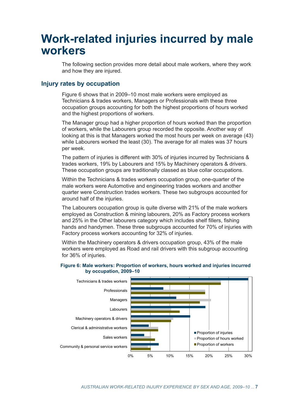## **Work-related injuries incurred by male workers**

The following section provides more detail about male workers, where they work and how they are injured.

## **Injury rates by occupation**

Figure 6 shows that in 2009–10 most male workers were employed as Technicians & trades workers, Managers or Professionals with these three occupation groups accounting for both the highest proportions of hours worked and the highest proportions of workers.

The Manager group had a higher proportion of hours worked than the proportion of workers, while the Labourers group recorded the opposite. Another way of looking at this is that Managers worked the most hours per week on average (43) while Labourers worked the least (30). The average for all males was 37 hours per week.

The pattern of injuries is different with 30% of injuries incurred by Technicians & trades workers, 19% by Labourers and 15% by Machinery operators & drivers. These occupation groups are traditionally classed as blue collar occupations.

Within the Technicians & trades workers occupation group, one-quarter of the male workers were Automotive and engineering trades workers and another quarter were Construction trades workers. These two subgroups accounted for around half of the injuries.

The Labourers occupation group is quite diverse with 21% of the male workers employed as Construction & mining labourers, 20% as Factory process workers and 25% in the Other labourers category which includes shelf fillers, fishing hands and handymen. These three subgroups accounted for 70% of injuries with Factory process workers accounting for 32% of injuries.

Within the Machinery operators & drivers occupation group, 43% of the male workers were employed as Road and rail drivers with this subgroup accounting for 36% of injuries.

### **Figure 6: Male workers: Proportion of workers, hours worked and injuries incurred by occupation, 2009–10**

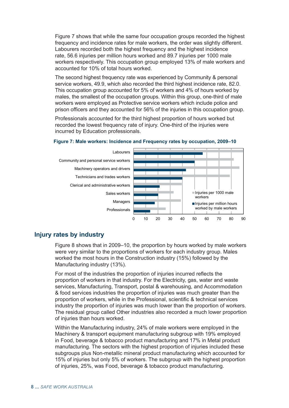Figure 7 shows that while the same four occupation groups recorded the highest frequency and incidence rates for male workers, the order was slightly different. Labourers recorded both the highest frequency and the highest incidence rate, 56.6 injuries per million hours worked and 89.7 injuries per 1000 male workers respectively. This occupation group employed 13% of male workers and accounted for 10% of total hours worked.

The second highest frequency rate was experienced by Community & personal service workers, 49.9, which also recorded the third highest incidence rate, 82.0. This occupation group accounted for 5% of workers and 4% of hours worked by males, the smallest of the occupation groups. Within this group, one-third of male workers were employed as Protective service workers which include police and prison officers and they accounted for 56% of the injuries in this occupation group.

Professionals accounted for the third highest proportion of hours worked but recorded the lowest frequency rate of injury. One-third of the injuries were incurred by Education professionals.



#### **Figure 7: Male workers: Incidence and Frequency rates by occupation, 2009–10**

## **Injury rates by industry**

Figure 8 shows that in 2009–10, the proportion by hours worked by male workers were very similar to the proportions of workers for each industry group. Males worked the most hours in the Construction industry (15%) followed by the Manufacturing industry (13%).

For most of the industries the proportion of injuries incurred reflects the proportion of workers in that industry. For the Electricity, gas, water and waste services, Manufacturing, Transport, postal & warehousing, and Accommodation & food services industries the proportion of injuries was much greater than the proportion of workers, while in the Professional, scientific & technical services industry the proportion of injuries was much lower than the proportion of workers. The residual group called Other industries also recorded a much lower proportion of injuries than hours worked.

Within the Manufacturing industry, 24% of male workers were employed in the Machinery & transport equipment manufacturing subgroup with 19% employed in Food, beverage & tobacco product manufacturing and 17% in Metal product manufacturing. The sectors with the highest proportion of injuries included these subgroups plus Non-metallic mineral product manufacturing which accounted for 15% of injuries but only 5% of workers. The subgroup with the highest proportion of injuries, 25%, was Food, beverage & tobacco product manufacturing.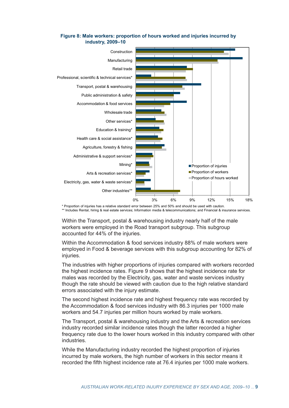

### **Figure 8: Male workers: proportion of hours worked and injuries incurred by industry, 2009–10**

\* Proportion of injuries has a relative standard error between 25% and 50% and should be used with caution. \*\* Includes Rental, hiring & real estate services; Information media & telecommunications; and Financial & insurance services.

Within the Transport, postal & warehousing industry nearly half of the male workers were employed in the Road transport subgroup. This subgroup accounted for 44% of the injuries.

Within the Accommodation & food services industry 88% of male workers were employed in Food & beverage services with this subgroup accounting for 82% of injuries.

The industries with higher proportions of injuries compared with workers recorded the highest incidence rates. Figure 9 shows that the highest incidence rate for males was recorded by the Electricity, gas, water and waste services industry though the rate should be viewed with caution due to the high relative standard errors associated with the injury estimate.

The second highest incidence rate and highest frequency rate was recorded by the Accommodation & food services industry with 86.3 injuries per 1000 male workers and 54.7 injuries per million hours worked by male workers.

The Transport, postal & warehousing industry and the Arts & recreation services industry recorded similar incidence rates though the latter recorded a higher frequency rate due to the lower hours worked in this industry compared with other industries.

While the Manufacturing industry recorded the highest proportion of injuries incurred by male workers, the high number of workers in this sector means it recorded the fifth highest incidence rate at 76.4 injuries per 1000 male workers.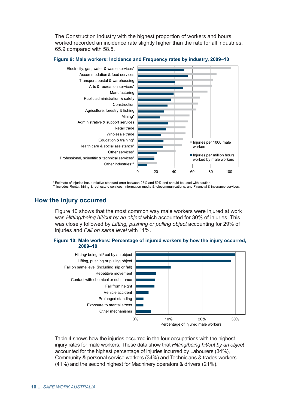The Construction industry with the highest proportion of workers and hours worked recorded an incidence rate slightly higher than the rate for all industries, 65.9 compared with 58.5.



#### **Figure 9: Male workers: Incidence and Frequency rates by industry, 2009–10**

\* Estimate of injuries has a relative standard error between 25% and 50% and should be used with caution. \*\* Includes Rental, hiring & real estate services; Information media & telecommunications; and Financial & insurance services.

## **How the injury occurred**

Figure 10 shows that the most common way male workers were injured at work was *Hitting/being hit/cut by an object* which accounted for 30% of injuries. This was closely followed by *Lifting, pushing or pulling object* accounting for 29% of injuries and *Fall on same level* with 11%.

#### **Figure 10: Male workers: Percentage of injured workers by how the injury occurred, 2009–10**



Table 4 shows how the injuries occurred in the four occupations with the highest injury rates for male workers. These data show that *Hitting/being hit/cut by an object*  accounted for the highest percentage of injuries incurred by Labourers (34%), Community & personal service workers (34%) and Technicians & trades workers (41%) and the second highest for Machinery operators & drivers (21%).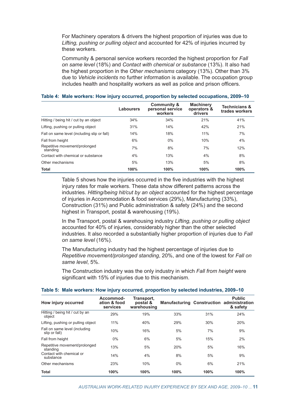For Machinery operators & drivers the highest proportion of injuries was due to *Lifting, pushing or pulling object* and accounted for 42% of injuries incurred by these workers.

Community & personal service workers recorded the highest proportion for *Fall on same level* (18%) and *Contact with chemical or substance* (13%). It also had the highest proportion in the *Other mechanisms* category (13%). Other than 3% due to *Vehicle incidents* no further information is available. The occupation group includes health and hospitality workers as well as police and prison officers.

|                                             | Labourers | Community &<br>personal service<br>workers | <b>Machinery</b><br>operators &<br>drivers | <b>Technicians &amp;</b><br>trades workers |
|---------------------------------------------|-----------|--------------------------------------------|--------------------------------------------|--------------------------------------------|
| Hitting / being hit / cut by an object      | 34%       | 34%                                        | 21%                                        | 41%                                        |
| Lifting, pushing or pulling object          | 31%       | 14%                                        | 42%                                        | 21%                                        |
| Fall on same level (including slip or fall) | 14%       | 18%                                        | 11%                                        | 7%                                         |
| Fall from height                            | 6%        | 0%                                         | 10%                                        | 4%                                         |
| Repetitive movement/prolonged<br>standing   | 7%        | 8%                                         | 7%                                         | 12%                                        |
| Contact with chemical or substance          | 4%        | 13%                                        | 4%                                         | 8%                                         |
| Other mechanisms                            | 5%        | 13%                                        | 5%                                         | 8%                                         |
| <b>Total</b>                                | 100%      | 100%                                       | 100%                                       | 100%                                       |

#### **Table 4: Male workers: How injury occurred, proportion by selected occupations, 2009–10**

Table 5 shows how the injuries occurred in the five industries with the highest injury rates for male workers. These data show different patterns across the industries. *Hitting/being hit/cut by an object* accounted for the highest percentage of injuries in Accommodation & food services (29%), Manufacturing (33%), Construction (31%) and Public administration & safety (24%) and the second highest in Transport, postal & warehousing (19%).

In the Transport, postal & warehousing industry *Lifting, pushing or pulling object* accounted for 40% of injuries, considerably higher than the other selected industries. It also recorded a substantially higher proportion of injuries due to *Fall on same level* (16%).

The Manufacturing industry had the highest percentage of injuries due to *Repetitive movement/prolonged standing*, 20%, and one of the lowest for *Fall on same level*, 5%.

The Construction industry was the only industry in which *Fall from height* were significant with 15% of injuries due to this mechanism.

| How injury occurred                            | Accommod-<br>ation & food<br>services | Transport,<br>postal &<br>warehousing |       |      | <b>Public</b><br><b>Manufacturing Construction administration</b><br>& safety |  |
|------------------------------------------------|---------------------------------------|---------------------------------------|-------|------|-------------------------------------------------------------------------------|--|
| Hitting / being hit / cut by an<br>object      | 29%                                   | 19%                                   | 33%   | 31%  | 24%                                                                           |  |
| Lifting, pushing or pulling object             | 11%                                   | 40%                                   | 29%   | 30%  | 20%                                                                           |  |
| Fall on same level (including<br>slip or fall) | 10%                                   | 16%                                   | 5%    | 7%   | 9%                                                                            |  |
| Fall from height                               | $0\%$                                 | 6%                                    | 5%    | 15%  | 2%                                                                            |  |
| Repetitive movement/prolonged<br>standing      | 13%                                   | 5%                                    | 20%   | 5%   | 16%                                                                           |  |
| Contact with chemical or<br>substance          | 14%                                   | 4%                                    | 8%    | 5%   | 9%                                                                            |  |
| Other mechanisms                               | 23%                                   | 10%                                   | $0\%$ | 6%   | 21%                                                                           |  |
| <b>Total</b>                                   | 100%                                  | 100%                                  | 100%  | 100% | 100%                                                                          |  |

#### **Table 5: Male workers: How injury occurred, proportion by selected industries, 2009–10**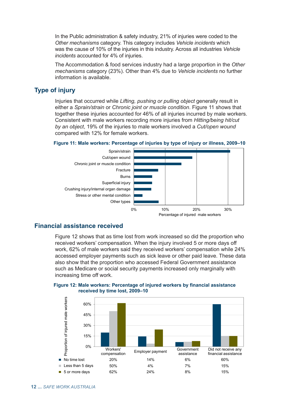In the Public administration & safety industry, 21% of injuries were coded to the *Other mechanisms* category. This category includes *Vehicle incidents* which was the cause of 10% of the injuries in this industry. Across all industries *Vehicle incidents* accounted for 4% of injuries.

The Accommodation & food services industry had a large proportion in the *Other mechanisms* category (23%). Other than 4% due to *Vehicle incidents* no further information is available.

## **Type of injury**

Injuries that occurred while *Lifting, pushing or pulling object* generally result in either a *Sprain/strain* or *Chronic joint or muscle condition*. Figure 11 shows that together these injuries accounted for 46% of all injuries incurred by male workers. Consistent with male workers recording more injuries from *Hitting/being hit/cut by an object*, 19% of the injuries to male workers involved a *Cut/open wound* compared with 12% for female workers.



#### **Figure 11: Male workers: Percentage of injuries by type of injury or illness, 2009–10**

## **Financial assistance received**

Figure 12 shows that as time lost from work increased so did the proportion who received workers' compensation. When the injury involved 5 or more days off work, 62% of male workers said they received workers' compensation while 24% accessed employer payments such as sick leave or other paid leave. These data also show that the proportion who accessed Federal Government assistance such as Medicare or social security payments increased only marginally with increasing time off work.



**Figure 12: Male workers: Percentage of injured workers by financial assistance received by time lost, 2009–10**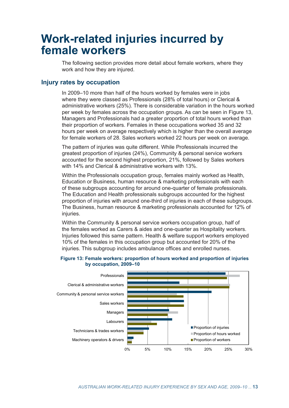## **Work-related injuries incurred by female workers**

The following section provides more detail about female workers, where they work and how they are injured.

## **Injury rates by occupation**

In 2009–10 more than half of the hours worked by females were in jobs where they were classed as Professionals (28% of total hours) or Clerical & administrative workers (25%). There is considerable variation in the hours worked per week by females across the occupation groups. As can be seen in Figure 13, Managers and Professionals had a greater proportion of total hours worked than their proportion of workers. Females in these occupations worked 35 and 32 hours per week on average respectively which is higher than the overall average for female workers of 28. Sales workers worked 22 hours per week on average.

The pattern of injuries was quite different. While Professionals incurred the greatest proportion of injuries (24%), Community & personal service workers accounted for the second highest proportion, 21%, followed by Sales workers with 14% and Clerical & administrative workers with 13%.

Within the Professionals occupation group, females mainly worked as Health, Education or Business, human resource & marketing professionals with each of these subgroups accounting for around one-quarter of female professionals. The Education and Health professionals subgroups accounted for the highest proportion of injuries with around one-third of injuries in each of these subgroups. The Business, human resource & marketing professionals accounted for 12% of injuries.

Within the Community & personal service workers occupation group, half of the females worked as Carers & aides and one-quarter as Hospitality workers. Injuries followed this same pattern. Health & welfare support workers employed 10% of the females in this occupation group but accounted for 20% of the injuries. This subgroup includes ambulance offices and enrolled nurses.

#### **Figure 13: Female workers: proportion of hours worked and proportion of injuries by occupation, 2009–10**

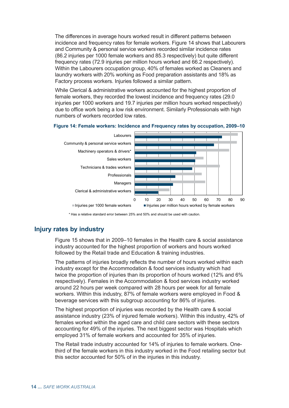The differences in average hours worked result in different patterns between incidence and frequency rates for female workers. Figure 14 shows that Labourers and Community & personal service workers recorded similar incidence rates (86.2 injuries per 1000 female workers and 85.3 respectively) but quite different frequency rates (72.9 injuries per million hours worked and 66.2 respectively). Within the Labourers occupation group, 40% of females worked as Cleaners and laundry workers with 20% working as Food preparation assistants and 18% as Factory process workers. Injuries followed a similar pattern.

While Clerical & administrative workers accounted for the highest proportion of female workers, they recorded the lowest incidence and frequency rates (29.0 injuries per 1000 workers and 19.7 injuries per million hours worked respectively) due to office work being a low risk environment. Similarly Professionals with high numbers of workers recorded low rates.





## **Injury rates by industry**

Figure 15 shows that in 2009–10 females in the Health care & social assistance industry accounted for the highest proportion of workers and hours worked followed by the Retail trade and Education & training industries.

The patterns of injuries broadly reflects the number of hours worked within each industry except for the Accommodation & food services industry which had twice the proportion of injuries than its proportion of hours worked (12% and 6% respectively). Females in the Accommodation & food services industry worked around 22 hours per week compared with 28 hours per week for all female workers. Within this industry, 87% of female workers were employed in Food & beverage services with this subgroup accounting for 86% of injuries.

The highest proportion of injuries was recorded by the Health care & social assistance industry (23% of injured female workers). Within this industry, 42% of females worked within the aged care and child care sectors with these sectors accounting for 49% of the injuries. The next biggest sector was Hospitals which employed 31% of female workers and accounted for 35% of injuries.

The Retail trade industry accounted for 14% of injuries to female workers. Onethird of the female workers in this industry worked in the Food retailing sector but this sector accounted for 50% of in the injuries in this industry.

<sup>\*</sup> Has a relative standard error between 25% and 50% and should be used with caution.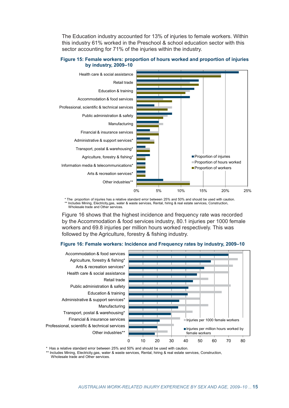The Education industry accounted for 13% of injuries to female workers. Within this industry 61% worked in the Preschool & school education sector with this sector accounting for 71% of the injuries within the industry.

### **Figure 15: Female workers: proportion of hours worked and proportion of injuries by industry, 2009–10**



\* The proportion of injuries has a relative standard error between 25% and 50% and should be used with caution. Includes Mining, Electricity,gas, water & waste services, Rental, hiring & real estate services, Construction, Wholesale trade and Other services.

Figure 16 shows that the highest incidence and frequency rate was recorded by the Accommodation & food services industry, 80.1 injuries per 1000 female workers and 69.8 injuries per million hours worked respectively. This was followed by the Agriculture, forestry & fishing industry.

### **Figure 16: Female workers: Incidence and Frequency rates by industry, 2009–10**



\* Has a relative standard error between 25% and 50% and should be used with caution.

\*\* Includes Mining, Electricity,gas, water & waste services, Rental, hiring & real estate services, Construction, Wholesale trade and Other services.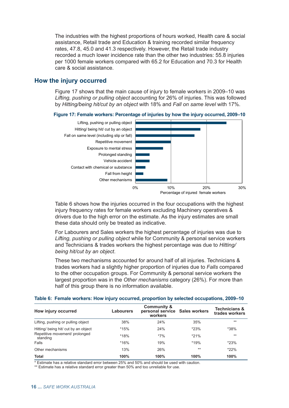The industries with the highest proportions of hours worked, Health care & social assistance, Retail trade and Education & training recorded similar frequency rates, 47.8, 45.0 and 41.3 respectively. However, the Retail trade industry recorded a much lower incidence rate than the other two industries: 55.8 injuries per 1000 female workers compared with 65.2 for Education and 70.3 for Health care & social assistance.

## **How the injury occurred**

Figure 17 shows that the main cause of injury to female workers in 2009–10 was *Lifting, pushing or pulling object* accounting for 26% of injuries. This was followed by *Hitting/being hit/cut by an object* with 18% and *Fall on same level* with 17%.





Table 6 shows how the injuries occurred in the four occupations with the highest injury frequency rates for female workers excluding Machinery operatives & drivers due to the high error on the estimate. As the injury estimates are small these data should only be treated as indicative.

For Labourers and Sales workers the highest percentage of injuries was due to *Lifting, pushing or pulling object* while for Community & personal service workers and Technicians & trades workers the highest percentage was due to *Hitting/ being hit/cut by an object*.

These two mechanisms accounted for around half of all injuries. Technicians & trades workers had a slightly higher proportion of injuries due to *Falls* compared to the other occupation groups. For Community & personal service workers the largest proportion was in the *Other mechanisms* category (26%). For more than half of this group there is no information available.

| How injury occurred                        | Labourers | <b>Community &amp;</b><br>personal service Sales workers<br>workers |        | <b>Technicians &amp;</b><br>trades workers |
|--------------------------------------------|-----------|---------------------------------------------------------------------|--------|--------------------------------------------|
| Lifting, pushing or pulling object         | 38%       | 24%                                                                 | 35%    | $***$                                      |
| Hitting/ being hit/ cut by an object       | $*15%$    | 24%                                                                 | $*23%$ | $*38\%$                                    |
| Repetitive movement/ prolonged<br>standing | *18%      | $*7\%$                                                              | $*21%$ | $**$                                       |
| Falls                                      | $*16%$    | 19%                                                                 | $*19%$ | $*23%$                                     |
| Other mechanisms                           | 13%       | 26%                                                                 | $***$  | $*22\%$                                    |
| <b>Total</b>                               | 100%      | 100%                                                                | 100%   | 100%                                       |

#### **Table 6: Female workers: How injury occurred, proportion by selected occupations, 2009–10**

\* Estimate has a relative standard error between 25% and 50% and should be used with caution.

\*\* Estimate has a relative standard error greater than 50% and too unreliable for use.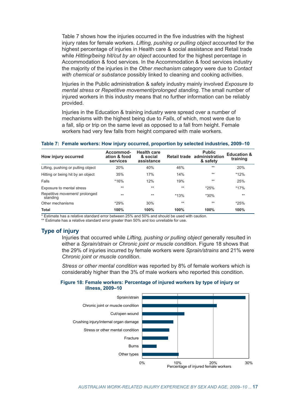Table 7 shows how the injuries occurred in the five industries with the highest injury rates for female workers. *Lifting, pushing or pulling object* accounted for the highest percentage of injuries in Health care & social assistance and Retail trade while *Hitting/being hit/cut by an object* accounted for the highest percentage in Accommodation & food services. In the Accommodation & food services industry the majority of the injuries in the *Other mechanism* category were due to *Contact with chemical or substance* possibly linked to cleaning and cooking activities.

Injuries in the Public administration & safety industry mainly involved *Exposure to mental stress* or *Repetitive movement/prolonged standing*. The small number of injured workers in this industry means that no further information can be reliably provided.

Injuries in the Education & training industry were spread over a number of mechanisms with the highest being due to *Falls*, of which, most were due to a fall, slip or trip on the same level as opposed to a fall from height. Female workers had very few falls from height compared with male workers.

| How injury occurred                        | Accommod-<br>ation & food<br>services | <b>Health care</b><br>& social<br>assistance |        | <b>Public</b><br>Retail trade administration<br>& safety | <b>Education &amp;</b><br>training |
|--------------------------------------------|---------------------------------------|----------------------------------------------|--------|----------------------------------------------------------|------------------------------------|
| Lifting, pushing or pulling object         | 20%                                   | 40%                                          | 46%    | $**$                                                     | 20%                                |
| Hitting or being hit by an object          | 35%                                   | 17%                                          | 14%    | $**$                                                     | $*12%$                             |
| Falls                                      | $*16%$                                | 12%                                          | 19%    | $***$                                                    | 25%                                |
| Exposure to mental stress                  | $**$                                  | $***$                                        | $***$  | $*25%$                                                   | $*17%$                             |
| Repetitive movement/ prolonged<br>standing | $***$                                 | $***$                                        | $*13%$ | $*30\%$                                                  | $**$                               |
| Other mechanisms                           | $*29%$                                | 30%                                          | $**$   | $***$                                                    | $*25%$                             |
| <b>Total</b>                               | 100%                                  | 100%                                         | 100%   | 100%                                                     | 100%                               |

#### **Table 7: Female workers: How injury occurred, proportion by selected industries, 2009–10**

\* Estimate has a relative standard error between 25% and 50% and should be used with caution.

\*\* Estimate has a relative standard error greater than 50% and too unreliable for use.

## **Type of injury**

Injuries that occurred while *Lifting, pushing or pulling object* generally resulted in either a *Sprain/strain* or *Chronic joint or muscle condition*. Figure 18 shows that the 29% of injuries incurred by female workers were *Sprain/strains* and 21% were *Chronic joint or muscle condition*.

*Stress or other mental condition* was reported by 8% of female workers which is considerably higher than the 3% of male workers who reported this condition.

#### **Figure 18: Female workers: Percentage of injured workers by type of injury or illness, 2009–10**

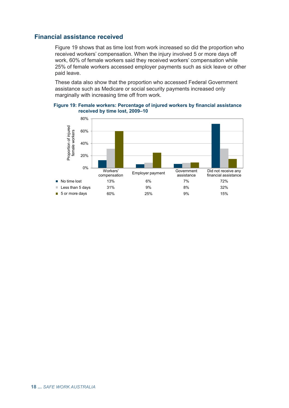## **Financial assistance received**

Figure 19 shows that as time lost from work increased so did the proportion who received workers' compensation. When the injury involved 5 or more days off work, 60% of female workers said they received workers' compensation while 25% of female workers accessed employer payments such as sick leave or other paid leave.

These data also show that the proportion who accessed Federal Government assistance such as Medicare or social security payments increased only marginally with increasing time off from work.

**Figure 19: Female workers: Percentage of injured workers by financial assistance received by time lost, 2009–10**

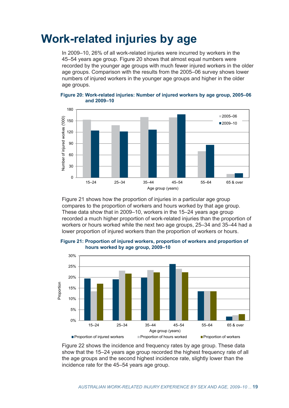## **Work-related injuries by age**

In 2009–10, 26% of all work-related injuries were incurred by workers in the 45–54 years age group. Figure 20 shows that almost equal numbers were recorded by the younger age groups with much fewer injured workers in the older age groups. Comparison with the results from the 2005–06 survey shows lower numbers of injured workers in the younger age groups and higher in the older age groups.



**Figure 20: Work-related injuries: Number of injured workers by age group, 2005–06 and 2009–10**

Figure 21 shows how the proportion of injuries in a particular age group compares to the proportion of workers and hours worked by that age group. These data show that in 2009–10, workers in the 15–24 years age group recorded a much higher proportion of work-related injuries than the proportion of workers or hours worked while the next two age groups, 25–34 and 35–44 had a lower proportion of injured workers than the proportion of workers or hours.



**Figure 21: Proportion of injured workers, proportion of workers and proportion of hours worked by age group, 2009–10**

Figure 22 shows the incidence and frequency rates by age group. These data show that the 15–24 years age group recorded the highest frequency rate of all the age groups and the second highest incidence rate, slightly lower than the incidence rate for the 45–54 years age group.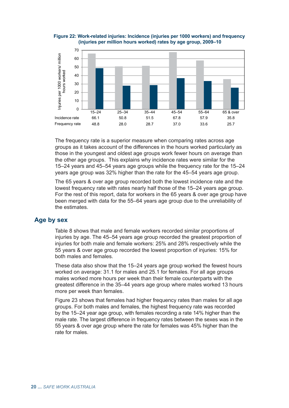



The frequency rate is a superior measure when comparing rates across age groups as it takes account of the differences in the hours worked particularly as those in the youngest and oldest age groups work fewer hours on average than the other age groups. This explains why incidence rates were similar for the 15–24 years and 45–54 years age groups while the frequency rate for the 15–24 years age group was 32% higher than the rate for the 45–54 years age group.

The 65 years & over age group recorded both the lowest incidence rate and the lowest frequency rate with rates nearly half those of the 15–24 years age group. For the rest of this report, data for workers in the 65 years & over age group have been merged with data for the 55–64 years age group due to the unreliability of the estimates.

## **Age by sex**

Table 8 shows that male and female workers recorded similar proportions of injuries by age. The 45–54 years age group recorded the greatest proportion of injuries for both male and female workers: 25% and 28% respectively while the 55 years & over age group recorded the lowest proportion of injuries: 15% for both males and females.

These data also show that the 15–24 years age group worked the fewest hours worked on average: 31.1 for males and 25.1 for females. For all age groups males worked more hours per week than their female counterparts with the greatest difference in the 35–44 years age group where males worked 13 hours more per week than females.

Figure 23 shows that females had higher frequency rates than males for all age groups. For both males and females, the highest frequency rate was recorded by the 15–24 year age group, with females recording a rate 14% higher than the male rate. The largest difference in frequency rates between the sexes was in the 55 years & over age group where the rate for females was 45% higher than the rate for males.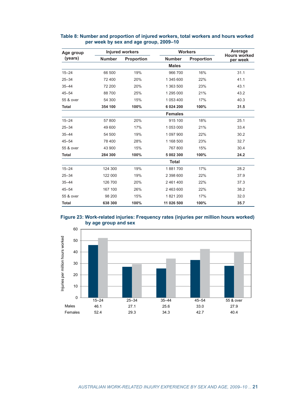| Age group    |               | <b>Injured workers</b> |                | <b>Workers</b>    |                                 |  |
|--------------|---------------|------------------------|----------------|-------------------|---------------------------------|--|
| (years)      | <b>Number</b> | <b>Proportion</b>      | <b>Number</b>  | <b>Proportion</b> | <b>Hours worked</b><br>per week |  |
|              |               |                        | <b>Males</b>   |                   |                                 |  |
| $15 - 24$    | 66 500        | 19%                    | 966 700        | 16%               | 31.1                            |  |
| $25 - 34$    | 72 400        | 20%                    | 1 345 600      | 22%               | 41.1                            |  |
| $35 - 44$    | 72 200        | 20%                    | 1 363 500      | 23%               | 43.1                            |  |
| $45 - 54$    | 88700         | 25%                    | 1 295 000      | 21%               | 43.2                            |  |
| 55 & over    | 54 300        | 15%                    | 1 053 400      | 17%               | 40.3                            |  |
| <b>Total</b> | 354 100       | 100%                   | 6 0 24 200     | 100%              | 31.5                            |  |
|              |               |                        | <b>Females</b> |                   |                                 |  |
| $15 - 24$    | 57 800        | 20%                    | 915 100        | 18%               | 25.1                            |  |
| $25 - 34$    | 49 600        | 17%                    | 1 053 000      | 21%               | 33.4                            |  |
| $35 - 44$    | 54 500        | 19%                    | 1 097 900      | 22%               | 30.2                            |  |
| $45 - 54$    | 78 400        | 28%                    | 1 168 500      | 23%               | 32.7                            |  |
| 55 & over    | 43 900        | 15%                    | 767 800        | 15%               | 30.4                            |  |
| <b>Total</b> | 284 300       | 100%                   | 5 002 300      | 100%              | 24.2                            |  |
|              |               |                        | <b>Total</b>   |                   |                                 |  |
| $15 - 24$    | 124 300       | 19%                    | 1881700        | 17%               | 28.2                            |  |
| $25 - 34$    | 122 000       | 19%                    | 2 398 600      | 22%               | 37.9                            |  |
| $35 - 44$    | 126 700       | 20%                    | 2 461 400      | 22%               | 37.3                            |  |
| $45 - 54$    | 167 100       | 26%                    | 2 463 600      | 22%               | 38.2                            |  |
| 55 & over    | 98 200        | 15%                    | 1821200        | 17%               | 32.0                            |  |
| <b>Total</b> | 638 300       | 100%                   | 11 026 500     | 100%              | 35.7                            |  |

### **Table 8: Number and proportion of injured workers, total workers and hours worked per week by sex and age group, 2009–10**



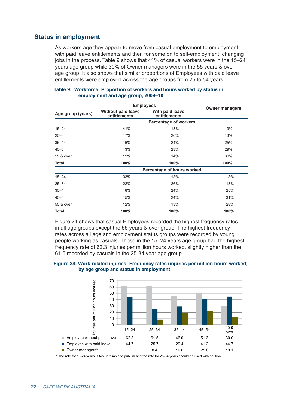## <span id="page-31-0"></span>**Status in employment**

As workers age they appear to move from casual employment to employment with paid leave entitlements and then for some on to self-employment, changing jobs in the process. Table 9 shows that 41% of casual workers were in the 15–24 years age group while 30% of Owner managers were in the 55 years & over age group. It also shows that similar proportions of Employees with paid leave entitlements were employed across the age groups from 25 to 54 years.

|                   |                                           | <b>Employees</b>                |                       |  |  |
|-------------------|-------------------------------------------|---------------------------------|-----------------------|--|--|
| Age group (years) | <b>Without paid leave</b><br>entitlements | With paid leave<br>entitlements | <b>Owner managers</b> |  |  |
|                   |                                           | <b>Percentage of workers</b>    |                       |  |  |
| $15 - 24$         | 41%                                       | 13%                             | 3%                    |  |  |
| $25 - 34$         | 17%                                       | 26%                             | 13%                   |  |  |
| $35 - 44$         | 16%                                       | 24%                             | 25%                   |  |  |
| $45 - 54$         | 13%                                       | 23%                             | 29%                   |  |  |
| 55 & over         | 12%                                       | 14%                             | 30%                   |  |  |
| Total             | 100%                                      | 100%                            | 100%                  |  |  |
|                   |                                           | Percentage of hours worked      |                       |  |  |
| $15 - 24$         | 33%                                       | 13%                             | 3%                    |  |  |
| $25 - 34$         | 22%                                       | 26%                             | 13%                   |  |  |
| $35 - 44$         | 18%                                       | 24%                             | 25%                   |  |  |
| $45 - 54$         | 15%                                       | 24%                             | 31%                   |  |  |
| 55 & over         | 12%                                       | 13%                             | 28%                   |  |  |
| <b>Total</b>      | 100%                                      | 100%                            | 100%                  |  |  |

#### **Table 9: Workforce: Proportion of workers and hours worked by status in employment and age group, 2009–10**

Figure 24 shows that casual Employees recorded the highest frequency rates in all age groups except the 55 years & over group. The highest frequency rates across all age and employment status groups were recorded by young people working as casuals. Those in the 15–24 years age group had the highest frequency rate of 62.3 injuries per million hours worked, slightly higher than the 61.5 recorded by casuals in the 25-34 year age group.

#### **Figure 24: Work-related injuries: Frequency rates (injuries per million hours worked) by age group and status in employment**



\* The rate for 15-24 years is too unreliable to publish and the rate for 25-34 years should be used with caution.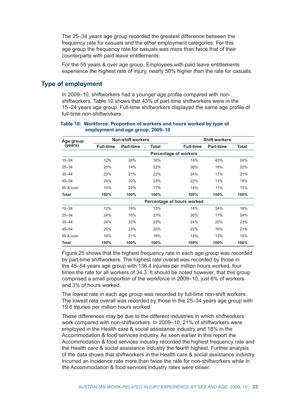<span id="page-32-0"></span>The 25–34 years age group recorded the greatest difference between the frequency rate for casuals and the other employment categories. For this age group the frequency rate for casuals was more than twice that of their counterparts with paid leave entitlements.

For the 55 years & over age group, Employees with paid leave entitlements experience the highest rate of injury, nearly 50% higher than the rate for casuals.

## **Type of employment**

In 2009–10, shiftworkers had a younger age profile compared with nonshiftworkers. Table 10 shows that 43% of part-time shiftworkers were in the 15–24 years age group. Full-time shiftworkers displayed the same age profile of full-time non-shiftworkers.

#### **Table 10: Workforce: Proportion of workers and hours worked by type of employment and age group, 2009–10**

| Age group    |                  | <b>Non-shift workers</b> |              |                              | <b>Shift workers</b> |              |
|--------------|------------------|--------------------------|--------------|------------------------------|----------------------|--------------|
| (years)      | <b>Full-time</b> | Part-time                | <b>Total</b> | <b>Full-time</b>             | <b>Part-time</b>     | <b>Total</b> |
|              |                  |                          |              | <b>Percentage of workers</b> |                      |              |
| $15 - 24$    | 12%              | 24%                      | 16%          | 14%                          | 43%                  | 24%          |
| $25 - 34$    | 25%              | 14%                      | 22%          | 26%                          | 16%                  | 22%          |
| $35 - 44$    | 23%              | 21%                      | 22%          | 24%                          | 17%                  | 21%          |
| $45 - 54$    | 24%              | 20%                      | 23%          | 22%                          | 13%                  | 19%          |
| 55 & over    | 15%              | 22%                      | 17%          | 14%                          | 11%                  | 13%          |
| Total        | 100%             | 100%                     | 100%         | 100%                         | 100%                 | 100%         |
|              |                  |                          |              | Percentage of hours worked   |                      |              |
| $15 - 24$    | 12%              | 19%                      | 13%          | 14%                          | 34%                  | 18%          |
| $25 - 34$    | 24%              | 16%                      | 23%          | 26%                          | 17%                  | 24%          |
| $35 - 44$    | 24%              | 22%                      | 23%          | 24%                          | 20%                  | 23%          |
| $45 - 54$    | 25%              | 23%                      | 25%          | 22%                          | 16%                  | 21%          |
| 55 & over    | 16%              | 21%                      | 16%          | 14%                          | 13%                  | 14%          |
| <b>Total</b> | 100%             | 100%                     | 100%         | 100%                         | 100%                 | 100%         |

Figure 25 shows that the highest frequency rate in each age group was recorded by part-time shiftworkers. The highest rate overall was recorded by those in the 45–54 years age group with 136.4 injuries per million hours worked, four times the rate for all workers of 34.3. It should be noted however, that this group comprised a small proportion of the workforce in 2009–10, just 6% of workers and 3% of hours worked.

The lowest rate in each age group was recorded by full-time non-shift workers. The lowest rate overall was recorded by those in the 25–34 years age group with 19.6 injuries per million hours worked.

These differences may be due to the different industries in which shiftworkers work compared with non-shiftworkers. In 2009–10, 21% of shiftworkers were employed in the Health care & social assistance industry and 18% in the Accommodation & food services industry. As seen earlier in this report the Accommodation & food services industry recorded the highest frequency rate and the Health care & social assistance industry the fourth highest. Further analysis of the data shows that shiftworkers in the Health care & social assistance industry incurred an incidence rate more than twice the rate for non-shiftworkers while in the Accommodation & food services industry rates were closer.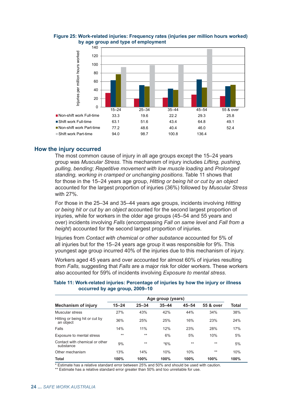

**Figure 25: Work-related injuries: Frequency rates (injuries per million hours worked) by age group and type of employment**

## **How the injury occurred**

The most common cause of injury in all age groups except the 15–24 years group was *Muscular Stress.* This mechanism of injury includes *Lifting, pushing, pulling, bending*; *Repetitive movement with low muscle loading* and *Prolonged standing, working in cramped or unchanging positions*. Table 11 shows that for those in the 15–24 years age group, *Hitting or being hit or cut by an object* accounted for the largest proportion of injuries (36%) followed by *Muscular Stress* with 27%.

For those in the 25–34 and 35–44 years age groups, incidents involving *Hitting or being hit or cut by an object* accounted for the second largest proportion of injuries, while for workers in the older age groups (45–54 and 55 years and over) incidents involving *Falls* (encompassing *Fall on same level* and *Fall from a height*) accounted for the second largest proportion of injuries.

Injuries from *Contact with chemical or other substance* accounted for 5% of all injuries but for the 15–24 years age group it was responsible for 9%. This youngest age group incurred 40% of the injuries due to this mechanism of injury.

Workers aged 45 years and over accounted for almost 60% of injuries resulting from *Falls,* suggesting that *Falls* are a major risk for older workers. These workers also accounted for 59% of incidents involving *Exposure to mental stress*.

|                                             | Age group (years) |           |           |           |           |       |
|---------------------------------------------|-------------------|-----------|-----------|-----------|-----------|-------|
| <b>Mechanism of injury</b>                  | $15 - 24$         | $25 - 34$ | $35 - 44$ | $45 - 54$ | 55 & over | Total |
| Muscular stress                             | 27%               | 43%       | 42%       | 44%       | 34%       | 38%   |
| Hitting or being hit or cut by<br>an object | 36%               | 25%       | 25%       | 16%       | 23%       | 24%   |
| Falls                                       | 14%               | 11%       | 12%       | 23%       | 28%       | 17%   |
| Exposure to mental stress                   | $**$              | $**$      | 6%        | 5%        | 10%       | 5%    |
| Contact with chemical or other<br>substance | 9%                | $**$      | $*6\%$    | $**$      | $**$      | 5%    |
| Other mechanism                             | 13%               | 14%       | 10%       | 10%       | $***$     | 10%   |
| <b>Total</b>                                | 100%              | 100%      | 100%      | 100%      | 100%      | 100%  |

**Table 11: Work-related injuries: Percentage of injuries by how the injury or illness occurred by age group, 2009–10**

\* Estimate has a relative standard error between 25% and 50% and should be used with caution.

\*\* Estimate has a relative standard error greater than 50% and too unreliable for use.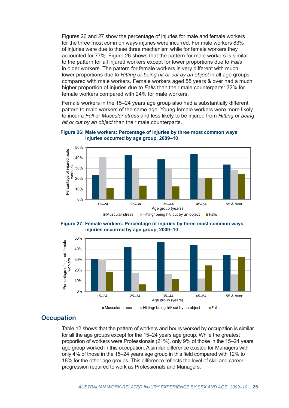Figures 26 and 27 show the percentage of injuries for male and female workers for the three most common ways injuries were incurred. For male workers 83% of injuries were due to these three mechanism while for female workers they accounted for 77%. Figure 26 shows that the pattern for male workers is similar to the pattern for all injured workers except for lower proportions due to *Falls* in older workers. The pattern for female workers is very different with much lower proportions due to *Hitting or being hit or cut by an object* in all age groups compared with male workers. Female workers aged 55 years & over had a much higher proportion of injuries due to *Falls* than their male counterparts: 32% for female workers compared with 24% for male workers.

Female workers in the 15–24 years age group also had a substantially different pattern to male workers of the same age. Young female workers were more likely to incur a *Fall* or *Muscular stress* and less likely to be injured from *Hitting or being hit or cut by an object* than their male counterparts.



**Figure 26: Male workers: Percentage of injuries by three most common ways injuries occurred by age group, 2009–10**





## **Occupation**

Table 12 shows that the pattern of workers and hours worked by occupation is similar for all the age groups except for the 15–24 years age group. While the greatest proportion of workers were Professionals (21%), only 9% of those in the 15–24 years age group worked in this occupation. A similar difference existed for Managers with only 4% of those in the 15–24 years age group in this field compared with 12% to 18% for the other age groups. This difference reflects the level of skill and career progression required to work as Professionals and Managers.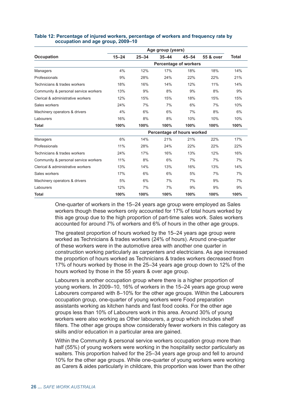|                                      | Age group (years)            |           |                            |           |           |              |
|--------------------------------------|------------------------------|-----------|----------------------------|-----------|-----------|--------------|
| <b>Occupation</b>                    | $15 - 24$                    | $25 - 34$ | $35 - 44$                  | $45 - 54$ | 55 & over | <b>Total</b> |
|                                      | <b>Percentage of workers</b> |           |                            |           |           |              |
| Managers                             | 4%                           | 12%       | 17%                        | 18%       | 18%       | 14%          |
| Professionals                        | 9%                           | 28%       | 24%                        | 22%       | 22%       | 21%          |
| Technicians & trades workers         | 18%                          | 16%       | 14%                        | 12%       | 11%       | 14%          |
| Community & personal service workers | 13%                          | 9%        | 8%                         | 9%        | 8%        | 9%           |
| Clerical & administrative workers    | 12%                          | 15%       | 15%                        | 18%       | 15%       | 15%          |
| Sales workers                        | 24%                          | 7%        | 7%                         | 6%        | 7%        | 10%          |
| Machinery operators & drivers        | 4%                           | 6%        | 6%                         | 7%        | 8%        | 6%           |
| Labourers                            | 16%                          | 8%        | 8%                         | 10%       | 10%       | 10%          |
| <b>Total</b>                         | 100%                         | 100%      | 100%                       | 100%      | 100%      | 100%         |
|                                      |                              |           | Percentage of hours worked |           |           |              |
| Managers                             | 6%                           | 14%       | 21%                        | 21%       | 22%       | 17%          |
| Professionals                        | 11%                          | 28%       | 24%                        | 22%       | 22%       | 22%          |
| Technicians & trades workers         | 24%                          | 17%       | 16%                        | 13%       | 12%       | 16%          |
| Community & personal service workers | 11%                          | 8%        | 6%                         | 7%        | 7%        | 7%           |
| Clerical & administrative workers    | 13%                          | 14%       | 13%                        | 16%       | 13%       | 14%          |
| Sales workers                        | 17%                          | 6%        | 6%                         | 5%        | 7%        | 7%           |
| Machinery operators & drivers        | 5%                           | 6%        | 7%                         | 7%        | 9%        | 7%           |
| Labourers                            | 12%                          | 7%        | 7%                         | 9%        | 9%        | 9%           |
| <b>Total</b>                         | 100%                         | 100%      | 100%                       | 100%      | 100%      | 100%         |

#### **Table 12: Percentage of injured workers, percentage of workers and frequency rate by occupation and age group, 2009–10**

One-quarter of workers in the 15–24 years age group were employed as Sales workers though these workers only accounted for 17% of total hours worked by this age group due to the high proportion of part-time sales work. Sales workers accounted for around 7% of workers and 6% of hours in the other age groups.

The greatest proportion of hours worked by the 15–24 years age group were worked as Technicians & trades workers (24% of hours). Around one-quarter of these workers were in the automotive area with another one quarter in construction working particularly as carpenters and electricians. As age increased the proportion of hours worked as Technicians & trades workers decreased from 17% of hours worked by those in the 25–34 years age group down to 12% of the hours worked by those in the 55 years & over age group.

Labourers is another occupation group where there is a higher proportion of young workers. In 2009–10, 16% of workers in the 15–24 years age group were Labourers compared with 8–10% for the other age groups. Within the Labourers occupation group, one-quarter of young workers were Food preparation assistants working as kitchen hands and fast food cooks. For the other age groups less than 10% of Labourers work in this area. Around 30% of young workers were also working as Other labourers, a group which includes shelf fillers. The other age groups show considerably fewer workers in this category as skills and/or education in a particular area are gained.

Within the Community & personal service workers occupation group more than half (55%) of young workers were working in the hospitality sector particularly as waiters. This proportion halved for the 25–34 years age group and fell to around 10% for the other age groups. While one-quarter of young workers were working as Carers & aides particularly in childcare, this proportion was lower than the other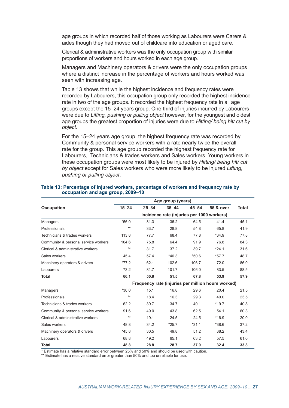age groups in which recorded half of those working as Labourers were Carers & aides though they had moved out of childcare into education or aged care.

Clerical & administrative workers was the only occupation group with similar proportions of workers and hours worked in each age group.

Managers and Machinery operators & drivers were the only occupation groups where a distinct increase in the percentage of workers and hours worked was seen with increasing age.

Table 13 shows that while the highest incidence and frequency rates were recorded by Labourers, this occupation group only recorded the highest incidence rate in two of the age groups. It recorded the highest frequency rate in all age groups except the 15–24 years group. One-third of injuries incurred by Labourers were due to *Lifting, pushing or pulling object* however, for the youngest and oldest age groups the greatest proportion of injuries were due to *Hitting/ being hit/ cut by object.*

For the 15–24 years age group, the highest frequency rate was recorded by Community & personal service workers with a rate nearly twice the overall rate for the group. This age group recorded the highest frequency rate for Labourers, Technicians & trades workers and Sales workers. Young workers in these occupation groups were most likely to be injured by *Hitting/ being hit/ cut by object* except for Sales workers who were more likely to be injured *Lifting, pushing or pulling object*.

|                                      | Age group (years)                                  |           |           |           |           |              |  |
|--------------------------------------|----------------------------------------------------|-----------|-----------|-----------|-----------|--------------|--|
| <b>Occupation</b>                    | $15 - 24$                                          | $25 - 34$ | $35 - 44$ | $45 - 54$ | 55 & over | <b>Total</b> |  |
|                                      | Incidence rate (injuries per 1000 workers)         |           |           |           |           |              |  |
| Managers                             | $*56.0$                                            | 31.3      | 36.2      | 64.5      | 41.4      | 45.1         |  |
| Professionals                        | $***$                                              | 33.7      | 28.8      | 54.8      | 65.8      | 41.9         |  |
| Technicians & trades workers         | 113.8                                              | 77.7      | 68.4      | 77.8      | $*34.9$   | 77.8         |  |
| Community & personal service workers | 104.6                                              | 75.8      | 64.4      | 91.9      | 76.8      | 84.3         |  |
| Clerical & administrative workers    | $***$                                              | 31.7      | 37.2      | 39.7      | $*24.1$   | 31.6         |  |
| Sales workers                        | 45.4                                               | 57.4      | $*40.3$   | $*50.6$   | $*57.7$   | 48.7         |  |
| Machinery operators & drivers        | $*77.2$                                            | 62.1      | 102.6     | 106.7     | 72.0      | 86.0         |  |
| Labourers                            | 73.2                                               | 81.7      | 101.7     | 106.0     | 83.5      | 88.5         |  |
| <b>Total</b>                         | 66.1                                               | 50.8      | 51.5      | 67.8      | 53.9      | 57.9         |  |
|                                      | Frequency rate (injuries per million hours worked) |           |           |           |           |              |  |
| Managers                             | $*30.0$                                            | 15.1      | 16.8      | 29.6      | 20.4      | 21.5         |  |
| Professionals                        | $***$                                              | 18.4      | 16.3      | 29.3      | 40.0      | 23.5         |  |
| Technicians & trades workers         | 62.2                                               | 39.7      | 34.7      | 40.1      | $*19.7$   | 40.8         |  |
| Community & personal service workers | 91.6                                               | 49.0      | 43.8      | 62.5      | 54.1      | 60.3         |  |
| Clerical & administrative workers    | $***$                                              | 19.1      | 24.5      | 24.5      | $*16.9$   | 20.0         |  |
| Sales workers                        | 48.8                                               | 34.2      | $*25.7$   | $*31.1$   | $*38.6$   | 37.2         |  |
| Machinery operators & drivers        | $*45.8$                                            | 30.5      | 49.8      | 51.2      | 38.2      | 43.4         |  |
| Labourers                            | 68.8                                               | 49.2      | 65.1      | 63.2      | 57.5      | 61.0         |  |
| <b>Total</b>                         | 48.8                                               | 28.8      | 28.7      | 37.0      | 32.4      | 33.8         |  |

#### **Table 13: Percentage of injured workers, percentage of workers and frequency rate by occupation and age group, 2009–10**

\* Estimate has a relative standard error between 25% and 50% and should be used with caution.

\*\* Estimate has a relative standard error greater than 50% and too unreliable for use.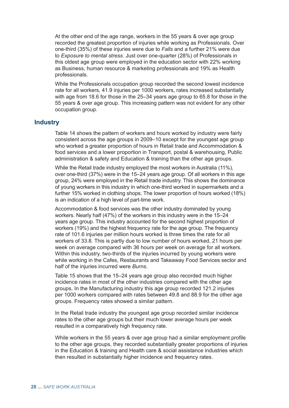At the other end of the age range, workers in the 55 years & over age group recorded the greatest proportion of injuries while working as Professionals. Over one-third (35%) of these injuries were due to *Falls* and a further 21% were due to *Exposure to mental stress*. Just over one-quarter (28%) of Professionals in this oldest age group were employed in the education sector with 22% working as Business, human resource & marketing professionals and 19% as Health professionals.

While the Professionals occupation group recorded the second lowest incidence rate for all workers, 41.9 injuries per 1000 workers, rates increased substantially with age from 18.6 for those in the 25–34 years age group to 65.8 for those in the 55 years & over age group. This increasing pattern was not evident for any other occupation group.

## **Industry**

Table 14 shows the pattern of workers and hours worked by industry were fairly consistent across the age groups in 2009–10 except for the youngest age group who worked a greater proportion of hours in Retail trade and Accommodation & food services and a lower proportion in Transport, postal & warehousing, Public administration & safety and Education & training than the other age groups.

While the Retail trade industry employed the most workers in Australia (11%), over one-third (37%) were in the 15–24 years age group. Of all workers in this age group, 24% were employed in the Retail trade industry. This shows the dominance of young workers in this industry in which one-third worked in supermarkets and a further 15% worked in clothing shops. The lower proportion of hours worked (18%) is an indication of a high level of part-time work.

Accommodation & food services was the other industry dominated by young workers. Nearly half (47%) of the workers in this industry were in the 15–24 years age group. This industry accounted for the second highest proportion of workers (19%) and the highest frequency rate for the age group. The frequency rate of 101.6 injuries per million hours worked is three times the rate for all workers of 33.8. This is partly due to low number of hours worked, 21 hours per week on average compared with 36 hours per week on average for all workers. Within this industry, two-thirds of the injuries incurred by young workers were while working in the Cafes, Restaurants and Takeaway Food Services sector and half of the injuries incurred were *Burns*.

Table 15 shows that the 15–24 years age group also recorded much higher incidence rates in most of the other industries compared with the other age groups. In the Manufacturing industry this age group recorded 121.2 injuries per 1000 workers compared with rates between 49.8 and 88.9 for the other age groups. Frequency rates showed a similar pattern.

In the Retail trade industry the youngest age group recorded similar incidence rates to the other age groups but their much lower average hours per week resulted in a comparatively high frequency rate.

While workers in the 55 years & over age group had a similar employment profile to the other age groups, they recorded substantially greater proportions of injuries in the Education & training and Health care & social assistance industries which then resulted in substantially higher incidence and frequency rates.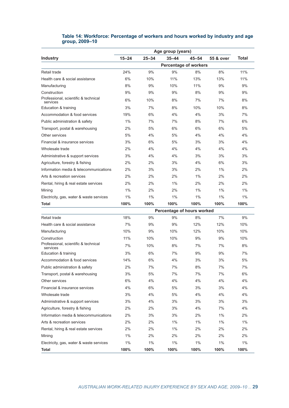|                                                  | Age group (years) |           |                              |           |           |              |
|--------------------------------------------------|-------------------|-----------|------------------------------|-----------|-----------|--------------|
| <b>Industry</b>                                  | $15 - 24$         | $25 - 34$ | $35 - 44$                    | $45 - 54$ | 55 & over | <b>Total</b> |
|                                                  |                   |           | <b>Percentage of workers</b> |           |           |              |
| Retail trade                                     | 24%               | 9%        | 9%                           | 8%        | 8%        | 11%          |
| Health care & social assistance                  | 6%                | 10%       | 11%                          | 13%       | 13%       | 11%          |
| Manufacturing                                    | 8%                | 9%        | 10%                          | 11%       | 9%        | 9%           |
| Construction                                     | 9%                | 9%        | 9%                           | 8%        | 9%        | 9%           |
| Professional, scientific & technical<br>services | 6%                | 10%       | 8%                           | 7%        | 7%        | 8%           |
| Education & training                             | 3%                | 7%        | 8%                           | 10%       | 10%       | 8%           |
| Accommodation & food services                    | 19%               | 6%        | 4%                           | 4%        | 3%        | 7%           |
| Public administration & safety                   | 1%                | 7%        | 7%                           | 8%        | 7%        | 6%           |
| Transport, postal & warehousing                  | 2%                | 5%        | 6%                           | 6%        | 6%        | 5%           |
| Other services                                   | 5%                | 4%        | 5%                           | 4%        | 4%        | 4%           |
| Financial & insurance services                   | 3%                | 6%        | 5%                           | 3%        | 3%        | 4%           |
| Wholesale trade                                  | 2%                | 4%        | 4%                           | 4%        | 4%        | 4%           |
| Administrative & support services                | 3%                | 4%        | 4%                           | 3%        | 3%        | 3%           |
| Agriculture, forestry & fishing                  | 2%                | 2%        | 3%                           | 4%        | 6%        | 3%           |
| Information media & telecommunications           | 2%                | 3%        | 3%                           | 2%        | 1%        | 2%           |
| Arts & recreation services                       | 2%                | 2%        | 2%                           | 1%        | 2%        | 2%           |
| Rental, hiring & real estate services            | 2%                | 2%        | 1%                           | 2%        | 2%        | 2%           |
| Mining                                           | 1%                | 2%        | 2%                           | 1%        | 1%        | 1%           |
| Electricity, gas, water & waste services         | 1%                | 1%        | 1%                           | 1%        | 1%        | 1%           |
| Total                                            | 100%              | 100%      | 100%                         | 100%      | 100%      | 100%         |
|                                                  |                   |           | Percentage of hours worked   |           |           |              |
| Retail trade                                     | 18%               | 9%        | 9%                           | 8%        | 7%        | 9%           |
| Health care & social assistance                  | 7%                | 9%        | 9%                           | 12%       | 12%       | 10%          |
| Manufacturing                                    | 10%               | 9%        | 10%                          | 12%       | 10%       | 10%          |
| Construction                                     | 11%               | 10%       | 10%                          | 9%        | 9%        | 10%          |
| Professional, scientific & technical<br>services | 7%                | 10%       | 8%                           | 7%        | 7%        | 8%           |
| Education & training                             | 3%                | 6%        | 7%                           | 9%        | 9%        | 7%           |
| Accommodation & food services                    | 14%               | 6%        | 4%                           | 3%        | 3%        | 5%           |
| Public administration & safety                   | 2%                | 7%        | 7%                           | 8%        | 7%        | 7%           |
| Transport, postal & warehousing                  | 3%                | 5%        | 7%                           | 7%        | 7%        | 6%           |
| Other services                                   | 6%                | 4%        | 4%                           | 4%        | 4%        | 4%           |
| Financial & insurance services                   | 4%                | 6%        | 5%                           | 3%        | 3%        | 4%           |
| Wholesale trade                                  | 3%                | 4%        | 5%                           | 4%        | 4%        | 4%           |
| Administrative & support services                | 3%                | 4%        | 3%                           | 3%        | 3%        | 3%           |
| Agriculture, forestry & fishing                  | 2%                | 2%        | 3%                           | 4%        | 7%        | 4%           |
| Information media & telecommunications           | 2%                | 3%        | 3%                           | 2%        | $1\%$     | 2%           |
| Arts & recreation services                       | 2%                | 2%        | $1\%$                        | 1%        | $1\%$     | $1\%$        |
| Rental, hiring & real estate services            | 2%                | 2%        | $1\%$                        | 2%        | 2%        | 2%           |
| Mining                                           | 1%                | 2%        | 2%                           | 2%        | 2%        | 2%           |
| Electricity, gas, water & waste services         | $1\%$             | $1\%$     | $1\%$                        | $1\%$     | $1\%$     | $1\%$        |
| Total                                            | 100%              | 100%      | 100%                         | 100%      | 100%      | 100%         |

### **Table 14: Workforce: Percentage of workers and hours worked by industry and age group, 2009–10**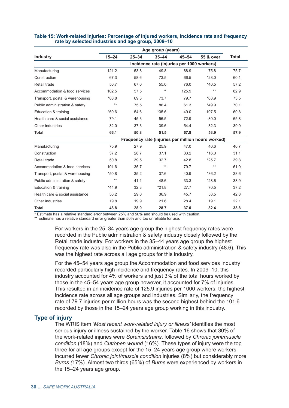|                                 | Age group (years)                                  |           |           |           |           |              |  |
|---------------------------------|----------------------------------------------------|-----------|-----------|-----------|-----------|--------------|--|
| <b>Industry</b>                 | $15 - 24$                                          | $25 - 34$ | $35 - 44$ | $45 - 54$ | 55 & over | <b>Total</b> |  |
|                                 | Incidence rate (injuries per 1000 workers)         |           |           |           |           |              |  |
| Manufacturing                   | 121.2                                              | 53.8      | 49.8      | 88.9      | 75.8      | 75.7         |  |
| Construction                    | 67.3                                               | 58.6      | 73.5      | 66.5      | $*28.0$   | 60.1         |  |
| Retail trade                    | 50.7                                               | 67.0      | 55.0      | 76.0      | $*40.5$   | 57.2         |  |
| Accommodation & food services   | 102.5                                              | 57.5      | $***$     | 125.9     | $***$     | 82.9         |  |
| Transport, postal & warehousing | $*88.8$                                            | 69.3      | 73.7      | 79.7      | $*63.9$   | 73.5         |  |
| Public administration & safety  | $***$                                              | 75.5      | 86.4      | 61.3      | $*49.9$   | 70.1         |  |
| Education & training            | $*60.6$                                            | 54.6      | $*35.6$   | 49.0      | 107.5     | 60.8         |  |
| Health care & social assistance | 79.1                                               | 45.3      | 56.5      | 72.9      | 80.0      | 65.8         |  |
| Other industries                | 32.0                                               | 37.3      | 39.6      | 54.4      | 32.3      | 39.9         |  |
| <b>Total</b>                    | 66.1                                               | 50.8      | 51.5      | 67.8      | 53.9      | 57.9         |  |
|                                 | Frequency rate (injuries per million hours worked) |           |           |           |           |              |  |
| Manufacturing                   | 75.9                                               | 27.9      | 25.9      | 47.0      | 40.6      | 40.7         |  |
| Construction                    | 37.2                                               | 28.7      | 37.1      | 33.2      | $*16.0$   | 31.1         |  |
| Retail trade                    | 50.8                                               | 39.5      | 32.7      | 42.8      | $*25.7$   | 39.8         |  |
| Accommodation & food services   | 101.6                                              | 35.7      | $***$     | 79.7      | $***$     | 61.9         |  |
| Transport, postal & warehousing | $*50.8$                                            | 35.2      | 37.6      | 40.9      | $*36.2$   | 38.6         |  |
| Public administration & safety  | $***$                                              | 41.1      | 48.6      | 33.3      | $*28.6$   | 38.9         |  |
| Education & training            | $*44.9$                                            | 32.3      | $*21.8$   | 27.7      | 70.5      | 37.2         |  |
| Health care & social assistance | 56.2                                               | 29.0      | 36.9      | 45.7      | 53.5      | 42.8         |  |
| Other industries                | 19.8                                               | 19.9      | 21.6      | 28.4      | 19.1      | 22.1         |  |
| <b>Total</b>                    | 48.8                                               | 28.0      | 28.7      | 37.0      | 32.4      | 33.8         |  |

#### **Table 15: Work-related injuries: Percentage of injured workers, incidence rate and frequency rate by selected industries and age group, 2009–10**

\* Estimate has a relative standard error between 25% and 50% and should be used with caution.

\*\* Estimate has a relative standard error greater than 50% and too unreliable for use.

For workers in the 25–34 years age group the highest frequency rates were recorded in the Public administration & safety industry closely followed by the Retail trade industry. For workers in the 35–44 years age group the highest frequency rate was also in the Public administration & safety industry (48.6). This was the highest rate across all age groups for this industry.

For the 45–54 years age group the Accommodation and food services industry recorded particularly high incidence and frequency rates. In 2009–10, this industry accounted for 4% of workers and just 3% of the total hours worked by those in the 45–54 years age group however, it accounted for 7% of injuries. This resulted in an incidence rate of 125.9 injuries per 1000 workers, the highest incidence rate across all age groups and industries. Similarly, the frequency rate of 79.7 injuries per million hours was the second highest behind the 101.6 recorded by those in the 15–24 years age group working in this industry.

## **Type of injury**

The WRIS item *'Most recent work-related injury or illness'* identifies the most serious injury or illness sustained by the worker. Table 16 shows that 30% of the work-related injuries were *Sprains/strains*, followed by *Chronic joint/muscle condition* (18%) and *Cut/open wound* (16%). These types of injury were the top three for all age groups except for the 15–24 years age group where workers incurred fewer *Chronic joint/muscle condition* injuries (8%) but considerably more *Burns (*17%)*.* Almost two thirds (65%) of *Burns* were experienced by workers in the 15–24 years age group.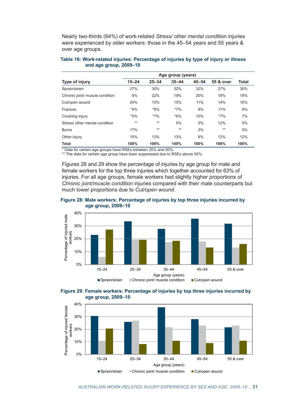<span id="page-40-0"></span>Nearly two-thirds (64%) of work-related *Stress/ other mental condition* injuries were experienced by older workers: those in the 45–54 years and 55 years & over age groups.

| Table 16: Work-related injuries: Percentage of injuries by type of injury or illness |  |  |  |
|--------------------------------------------------------------------------------------|--|--|--|
| and age group, 2009–10                                                               |  |  |  |

| Type of injury                  | Age group (years) |           |           |           |           |       |
|---------------------------------|-------------------|-----------|-----------|-----------|-----------|-------|
|                                 | $15 - 24$         | $25 - 34$ | $35 - 44$ | $45 - 54$ | 55 & over | Total |
| Sprain/strain                   | 27%               | 30%       | 32%       | 32%       | 27%       | 30%   |
| Chronic joint/ muscle condition | 8%                | 22%       | 19%       | 20%       | 18%       | 18%   |
| Cut/open wound                  | 24%               | 15%       | 15%       | 11%       | 14%       | 16%   |
| Fracture                        | $*4%$             | $*6\%$    | $*7\%$    | 9%        | 11%       | 8%    |
| Crushing injury                 | $*5%$             | $*7\%$    | $*6\%$    | 10%       | $*7\%$    | 7%    |
| Stress/ other mental condition  | $**$              | $**$      | 5%        | 5%        | 12%       | 5%    |
| <b>Burns</b>                    | 17%               | $***$     | $**$      | 3%        | $***$     | 5%    |
| Other injury                    | 15%               | 13%       | 13%       | 9%        | 12%       | 12%   |
| <b>Total</b>                    | 100%              | 100%      | 100%      | 100%      | 100%      | 100%  |

\* Data for certain age groups have RSEs between 25% and 50%.

\*\* The data for certain age group have been suppressed due to RSEs above 50%.

Figures 28 and 29 show the percentage of injuries by age group for male and female workers for the top three injuries which together accounted for 63% of injuries. For all age groups, female workers had slightly higher proportions of *Chronic joint/muscle condition* injuries compared with their male counterparts but much lower proportions due to *Cut/open wound*.







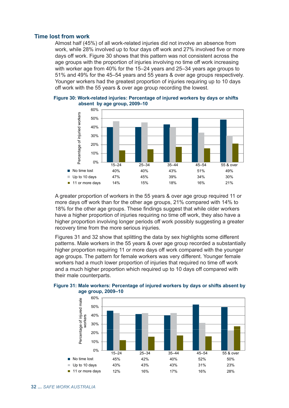## **Time lost from work**

Almost half (45%) of all work-related injuries did not involve an absence from work, while 28% involved up to four days off work and 27% involved five or more days off work. Figure 30 shows that this pattern was not consistent across the age groups with the proportion of injuries involving no time off work increasing with worker age from 40% for the 15–24 years and 25–34 years age groups to 51% and 49% for the 45–54 years and 55 years & over age groups respectively. Younger workers had the greatest proportion of injuries requiring up to 10 days off work with the 55 years & over age group recording the lowest.



**Figure 30: Work-related injuries: Percentage of injured workers by days or shifts absent by age group, 2009–10**

A greater proportion of workers in the 55 years & over age group required 11 or more days off work than for the other age groups, 21% compared with 14% to 18% for the other age groups. These findings suggest that while older workers have a higher proportion of injuries requiring no time off work, they also have a higher proportion involving longer periods off work possibly suggesting a greater recovery time from the more serious injuries.

Figures 31 and 32 show that splitting the data by sex highlights some different patterns. Male workers in the 55 years & over age group recorded a substantially higher proportion requiring 11 or more days off work compared with the younger age groups. The pattern for female workers was very different. Younger female workers had a much lower proportion of injuries that required no time off work and a much higher proportion which required up to 10 days off compared with their male counterparts.



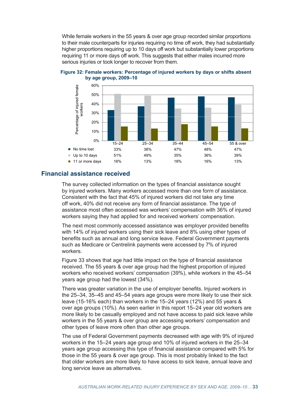While female workers in the 55 years & over age group recorded similar proportions to their male counterparts for injuries requiring no time off work, they had substantially higher proportions requiring up to 10 days off work but substantially lower proportions requiring 11 or more days off work. This suggests that either males incurred more serious injuries or took longer to recover from them.



**Figure 32: Female workers: Percentage of injured workers by days or shifts absent by age group, 2009–10** 

## **Financial assistance received**

The survey collected information on the types of financial assistance sought by injured workers. Many workers accessed more than one form of assistance. Consistent with the fact that 45% of injured workers did not take any time off work, 40% did not receive any form of financial assistance. The type of assistance most often accessed was workers' compensation with 36% of injured workers saying they had applied for and received workers' compensation.

The next most commonly accessed assistance was employer provided benefits with 14% of injured workers using their sick leave and 8% using other types of benefits such as annual and long service leave. Federal Government payments such as Medicare or Centrelink payments were accessed by 7% of injured workers.

Figure 33 shows that age had little impact on the type of financial assistance received. The 55 years & over age group had the highest proportion of injured workers who received workers' compensation (39%), while workers in the 45–54 years age group had the lowest (34%).

There was greater variation in the use of employer benefits. Injured workers in the 25–34, 35–45 and 45–54 years age groups were more likely to use their sick leave (15-16% each) than workers in the 15–24 years (12%) and 55 years & over age groups (10%). As seen earlier in this report 15–24 year old workers are more likely to be casually employed and not have access to paid sick leave while workers in the 55 years & over group are accessing workers' compensation and other types of leave more often than other age groups.

The use of Federal Government payments decreased with age with 9% of injured workers in the 15–24 years age group and 10% of injured workers in the 25–34 years age group accessing this type of financial assistance compared with 5% for those in the 55 years & over age group. This is most probably linked to the fact that older workers are more likely to have access to sick leave, annual leave and long service leave as alternatives.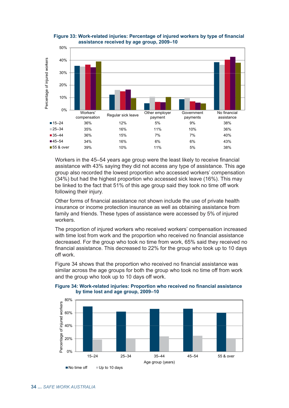

**Figure 33: Work-related injuries: Percentage of injured workers by type of financial assistance received by age group, 2009–10**

Workers in the 45–54 years age group were the least likely to receive financial assistance with 43% saying they did not access any type of assistance. This age group also recorded the lowest proportion who accessed workers' compensation (34%) but had the highest proportion who accessed sick leave (16%). This may be linked to the fact that 51% of this age group said they took no time off work following their injury.

Other forms of financial assistance not shown include the use of private health insurance or income protection insurance as well as obtaining assistance from family and friends. These types of assistance were accessed by 5% of injured workers.

The proportion of injured workers who received workers' compensation increased with time lost from work and the proportion who received no financial assistance decreased. For the group who took no time from work, 65% said they received no financial assistance. This decreased to 22% for the group who took up to 10 days off work.

Figure 34 shows that the proportion who received no financial assistance was similar across the age groups for both the group who took no time off from work and the group who took up to 10 days off work.



#### **Figure 34: Work-related injuries: Proportion who received no financial assistance by time lost and age group, 2009–10**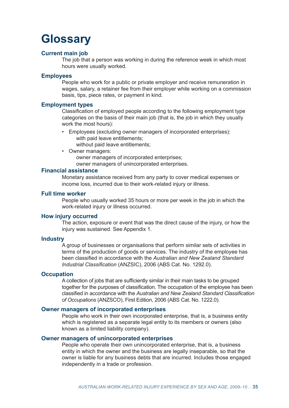## **Glossary**

## **Current main job**

The job that a person was working in during the reference week in which most hours were usually worked.

## **Employees**

People who work for a public or private employer and receive remuneration in wages, salary, a retainer fee from their employer while working on a commission basis, tips, piece rates, or payment in kind.

## **Employment types**

Classification of employed people according to the following employment type categories on the basis of their main job (that is, the job in which they usually work the most hours):

- Employees (excluding owner managers of incorporated enterprises): with paid leave entitlements;
	- without paid leave entitlements;
- Owner managers: owner managers of incorporated enterprises; owner managers of unincorporated enterprises.

## **Financial assistance**

Monetary assistance received from any party to cover medical expenses or income loss, incurred due to their work-related injury or illness.

## **Full time worker**

People who usually worked 35 hours or more per week in the job in which the work-related injury or illness occurred.

## **How injury occurred**

The action, exposure or event that was the direct cause of the injury, or how the injury was sustained. See Appendix 1.

## **Industry**

A group of businesses or organisations that perform similar sets of activities in terms of the production of goods or services. The industry of the employee has been classified in accordance with the *Australian and New Zealand Standard Industrial Classification* (ANZSIC), 2006 (ABS Cat. No. 1292.0).

## **Occupation**

A collection of jobs that are sufficiently similar in their main tasks to be grouped together for the purposes of classification. The occupation of the employee has been classified in accordance with the *Australian and New Zealand Standard Classification of Occupations* (ANZSCO), First Edition, 2006 (ABS Cat. No. 1222.0).

## **Owner managers of incorporated enterprises**

People who work in their own incorporated enterprise, that is, a business entity which is registered as a separate legal entity to its members or owners (also known as a limited liability company).

## **Owner managers of unincorporated enterprises**

People who operate their own unincorporated enterprise, that is, a business entity in which the owner and the business are legally inseparable, so that the owner is liable for any business debts that are incurred. Includes those engaged independently in a trade or profession.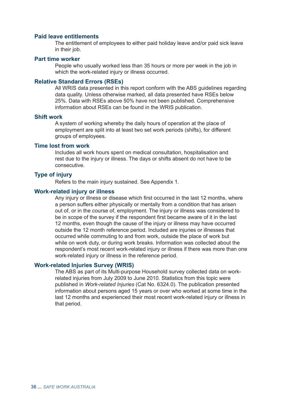## **Paid leave entitlements**

The entitlement of employees to either paid holiday leave and/or paid sick leave in their job.

### **Part time worker**

People who usually worked less than 35 hours or more per week in the job in which the work-related injury or illness occurred.

## **Relative Standard Errors (RSEs)**

All WRIS data presented in this report conform with the ABS guidelines regarding data quality. Unless otherwise marked, all data presented have RSEs below 25%. Data with RSEs above 50% have not been published. Comprehensive information about RSEs can be found in the WRIS publication.

## **Shift work**

A system of working whereby the daily hours of operation at the place of employment are split into at least two set work periods (shifts), for different groups of employees.

## **Time lost from work**

Includes all work hours spent on medical consultation, hospitalisation and rest due to the injury or illness. The days or shifts absent do not have to be consecutive.

## **Type of injury**

Refers to the main injury sustained. See Appendix 1.

## **Work-related injury or illness**

Any injury or illness or disease which first occurred in the last 12 months, where a person suffers either physically or mentally from a condition that has arisen out of, or in the course of, employment. The injury or illness was considered to be in scope of the survey if the respondent first became aware of it in the last 12 months, even though the cause of the injury or illness may have occurred outside the 12 month reference period. Included are injuries or illnesses that occurred while commuting to and from work, outside the place of work but while on work duty, or during work breaks. Information was collected about the respondent's most recent work-related injury or illness if there was more than one work-related injury or illness in the reference period.

### **Work-related Injuries Survey (WRIS)**

The ABS as part of its Multi-purpose Household survey collected data on workrelated injuries from July 2009 to June 2010. Statistics from this topic were published in *Work-related Injuries* (Cat No. 6324.0). The publication presented information about persons aged 15 years or over who worked at some time in the last 12 months and experienced their most recent work-related injury or illness in that period.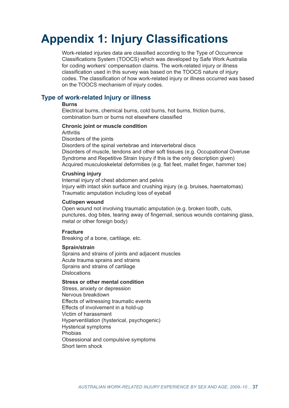## **Appendix 1: Injury Classifications**

Work-related injuries data are classified according to the Type of Occurrence Classifications System (TOOCS) which was developed by Safe Work Australia for coding workers' compensation claims. The work-related injury or illness classification used in this survey was based on the TOOCS nature of injury codes. The classification of how work-related injury or illness occurred was based on the TOOCS mechanism of injury codes.

## **Type of work-related Injury or illness**

## **Burns**

Electrical burns, chemical burns, cold burns, hot burns, friction burns, combination burn or burns not elsewhere classified

## **Chronic joint or muscle condition**

**Arthritis** 

Disorders of the joints Disorders of the spinal vertebrae and intervertebral discs

Disorders of muscle, tendons and other soft tissues (e.g. Occupational Overuse Syndrome and Repetitive Strain Injury if this is the only description given) Acquired musculoskeletal deformities (e.g. flat feet, mallet finger, hammer toe)

## **Crushing injury**

Internal injury of chest abdomen and pelvis Injury with intact skin surface and crushing injury (e.g. bruises, haematomas) Traumatic amputation including loss of eyeball

## **Cut/open wound**

Open wound not involving traumatic amputation (e.g. broken tooth, cuts, punctures, dog bites, tearing away of fingernail, serious wounds containing glass, metal or other foreign body)

## **Fracture**

Breaking of a bone, cartilage, etc.

## **Sprain/strain**

Sprains and strains of joints and adjacent muscles Acute trauma sprains and strains Sprains and strains of cartilage **Dislocations** 

## **Stress or other mental condition**

Stress, anxiety or depression Nervous breakdown Effects of witnessing traumatic events Effects of involvement in a hold-up Victim of harassment Hyperventilation (hysterical, psychogenic) Hysterical symptoms Phobias Obsessional and compulsive symptoms Short term shock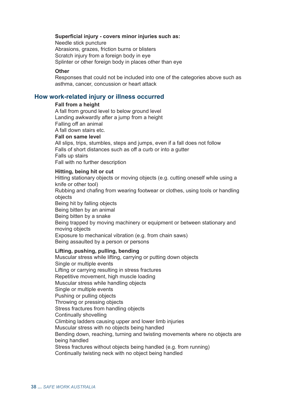### **Superficial injury - covers minor injuries such as:**

Needle stick puncture Abrasions, grazes, friction burns or blisters Scratch injury from a foreign body in eye Splinter or other foreign body in places other than eye

### **Other**

Responses that could not be included into one of the categories above such as asthma, cancer, concussion or heart attack

## **How work-related injury or illness occurred**

### **Fall from a height**

A fall from ground level to below ground level Landing awkwardly after a jump from a height Falling off an animal A fall down stairs etc. **Fall on same level**  All slips, trips, stumbles, steps and jumps, even if a fall does not follow Falls of short distances such as off a curb or into a gutter Falls up stairs Fall with no further description

### **Hitting, being hit or cut**

Hitting stationary objects or moving objects (e.g. cutting oneself while using a knife or other tool) Rubbing and chafing from wearing footwear or clothes, using tools or handling objects Being hit by falling objects Being bitten by an animal Being bitten by a snake Being trapped by moving machinery or equipment or between stationary and moving objects Exposure to mechanical vibration (e.g. from chain saws) Being assaulted by a person or persons

### **Lifting, pushing, pulling, bending**

Muscular stress while lifting, carrying or putting down objects Single or multiple events Lifting or carrying resulting in stress fractures Repetitive movement, high muscle loading Muscular stress while handling objects Single or multiple events Pushing or pulling objects Throwing or pressing objects Stress fractures from handling objects Continually shovelling Climbing ladders causing upper and lower limb injuries Muscular stress with no objects being handled Bending down, reaching, turning and twisting movements where no objects are being handled Stress fractures without objects being handled (e.g. from running) Continually twisting neck with no object being handled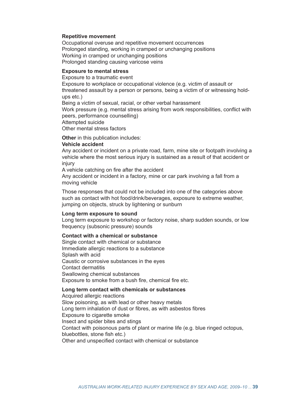### **Repetitive movement**

Occupational overuse and repetitive movement occurrences Prolonged standing, working in cramped or unchanging positions Working in cramped or unchanging positions Prolonged standing causing varicose veins

## **Exposure to mental stress**

Exposure to a traumatic event

Exposure to workplace or occupational violence (e.g. victim of assault or threatened assault by a person or persons, being a victim of or witnessing holdups etc.)

Being a victim of sexual, racial, or other verbal harassment

Work pressure (e.g. mental stress arising from work responsibilities, conflict with peers, performance counselling)

Attempted suicide

Other mental stress factors

**Other** in this publication includes:

#### **Vehicle accident**

Any accident or incident on a private road, farm, mine site or footpath involving a vehicle where the most serious injury is sustained as a result of that accident or injury

A vehicle catching on fire after the accident

Any accident or incident in a factory, mine or car park involving a fall from a moving vehicle

Those responses that could not be included into one of the categories above such as contact with hot food/drink/beverages, exposure to extreme weather, jumping on objects, struck by lightening or sunburn

#### **Long term exposure to sound**

Long term exposure to workshop or factory noise, sharp sudden sounds, or low frequency (subsonic pressure) sounds

## **Contact with a chemical or substance**

Single contact with chemical or substance Immediate allergic reactions to a substance Splash with acid Caustic or corrosive substances in the eyes Contact dermatitis Swallowing chemical substances Exposure to smoke from a bush fire, chemical fire etc.

#### **Long term contact with chemicals or substances**

Acquired allergic reactions Slow poisoning, as with lead or other heavy metals Long term inhalation of dust or fibres, as with asbestos fibres Exposure to cigarette smoke Insect and spider bites and stings Contact with poisonous parts of plant or marine life (e.g. blue ringed octopus, bluebottles, stone fish etc.) Other and unspecified contact with chemical or substance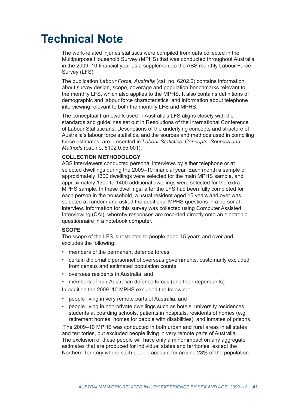## **Technical Note**

The work-related injuries statistics were compiled from data collected in the Multipurpose Household Survey (MPHS) that was conducted throughout Australia in the 2009–10 financial year as a supplement to the ABS monthly Labour Force Survey (LFS).

The publication *Labour Force, Australia* (cat. no. 6202.0) contains information about survey design, scope, coverage and population benchmarks relevant to the monthly LFS, which also applies to the MPHS. It also contains definitions of demographic and labour force characteristics, and information about telephone interviewing relevant to both the monthly LFS and MPHS.

The conceptual framework used in Australia's LFS aligns closely with the standards and guidelines set out in Resolutions of the International Conference of Labour Statisticians. Descriptions of the underlying concepts and structure of Australia's labour force statistics, and the sources and methods used in compiling these estimates, are presented in *Labour Statistics: Concepts, Sources and Methods* (cat. no. 6102.0.55.001).

## **COLLECTION METHODOLOGY**

ABS interviewers conducted personal interviews by either telephone or at selected dwellings during the 2009–10 financial year. Each month a sample of approximately 1300 dwellings were selected for the main MPHS sample, and approximately 1300 to 1400 additional dwellings were selected for the extra MPHS sample. In these dwellings, after the LFS had been fully completed for each person in the household, a usual resident aged 15 years and over was selected at random and asked the additional MPHS questions in a personal interview. Information for this survey was collected using Computer Assisted Interviewing (CAI), whereby responses are recorded directly onto an electronic questionnaire in a notebook computer.

### **SCOPE**

The scope of the LFS is restricted to people aged 15 years and over and excludes the following:

- members of the permanent defence forces
- certain diplomatic personnel of overseas governments, customarily excluded from census and estimated population counts
- overseas residents in Australia, and
- members of non-Australian defence forces (and their dependants).

In addition the 2009–10 MPHS excluded the following:

- people living in very remote parts of Australia, and
- people living in non-private dwellings such as hotels, university residences, students at boarding schools, patients in hospitals, residents of homes (e.g. retirement homes, homes for people with disabilities), and inmates of prisons.

 The 2009–10 MPHS was conducted in both urban and rural areas in all states and territories, but excluded people living in very remote parts of Australia. The exclusion of these people will have only a minor impact on any aggregate estimates that are produced for individual states and territories, except the Northern Territory where such people account for around 23% of the population.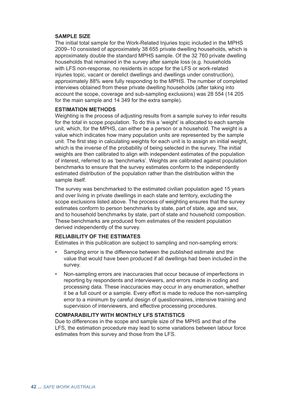## **SAMPLE SIZE**

The initial total sample for the Work-Related Injuries topic included in the MPHS 2009–10 consisted of approximately 38 655 private dwelling households, which is approximately double the standard MPHS sample. Of the 32 760 private dwelling households that remained in the survey after sample loss (e.g. households with LFS non-response, no residents in scope for the LFS or work-related injuries topic, vacant or derelict dwellings and dwellings under construction), approximately 88% were fully responding to the MPHS. The number of completed interviews obtained from these private dwelling households (after taking into account the scope, coverage and sub-sampling exclusions) was 28 554 (14 205 for the main sample and 14 349 for the extra sample).

## **ESTIMATION METHODS**

Weighting is the process of adjusting results from a sample survey to infer results for the total in scope population. To do this a 'weight' is allocated to each sample unit, which, for the MPHS, can either be a person or a household. The weight is a value which indicates how many population units are represented by the sample unit. The first step in calculating weights for each unit is to assign an initial weight, which is the inverse of the probability of being selected in the survey. The initial weights are then calibrated to align with independent estimates of the population of interest, referred to as 'benchmarks'. Weights are calibrated against population benchmarks to ensure that the survey estimates conform to the independently estimated distribution of the population rather than the distribution within the sample itself.

The survey was benchmarked to the estimated civilian population aged 15 years and over living in private dwellings in each state and territory, excluding the scope exclusions listed above. The process of weighting ensures that the survey estimates conform to person benchmarks by state, part of state, age and sex, and to household benchmarks by state, part of state and household composition. These benchmarks are produced from estimates of the resident population derived independently of the survey.

## **RELIABILITY OF THE ESTIMATES**

Estimates in this publication are subject to sampling and non-sampling errors:

- Sampling error is the difference between the published estimate and the value that would have been produced if all dwellings had been included in the survey.
- Non-sampling errors are inaccuracies that occur because of imperfections in reporting by respondents and interviewers, and errors made in coding and processing data. These inaccuracies may occur in any enumeration, whether it be a full count or a sample. Every effort is made to reduce the non-sampling error to a minimum by careful design of questionnaires, intensive training and supervision of interviewers, and effective processing procedures.

## **COMPARABILITY WITH MONTHLY LFS STATISTICS**

Due to differences in the scope and sample size of the MPHS and that of the LFS, the estimation procedure may lead to some variations between labour force estimates from this survey and those from the LFS.